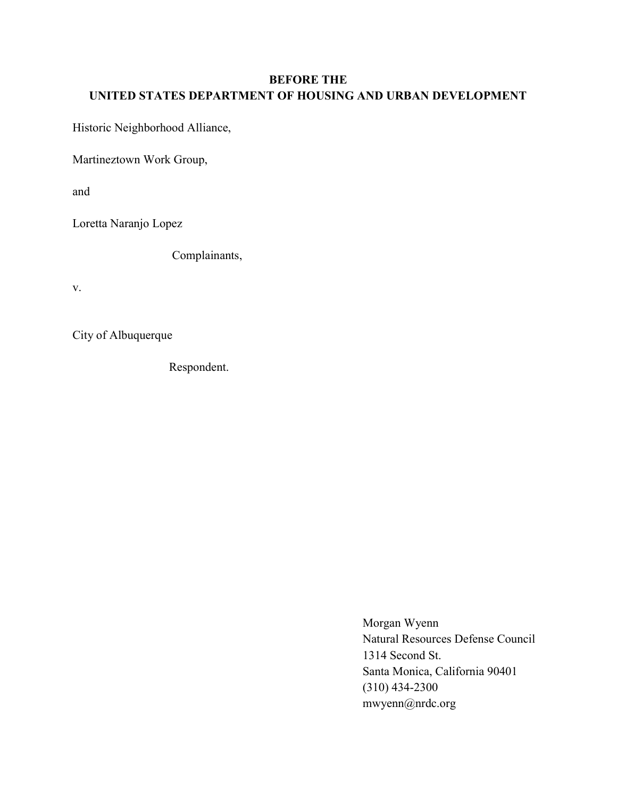# BEFORE THE UNITED STATES DEPARTMENT OF HOUSING AND URBAN DEVELOPMENT

Historic Neighborhood Alliance,

Martineztown Work Group,

and

Loretta Naranjo Lopez

Complainants,

v.

City of Albuquerque

Respondent.

Morgan Wyenn Natural Resources Defense Council 1314 Second St. Santa Monica, California 90401 (310) 434-2300 mwyenn@nrdc.org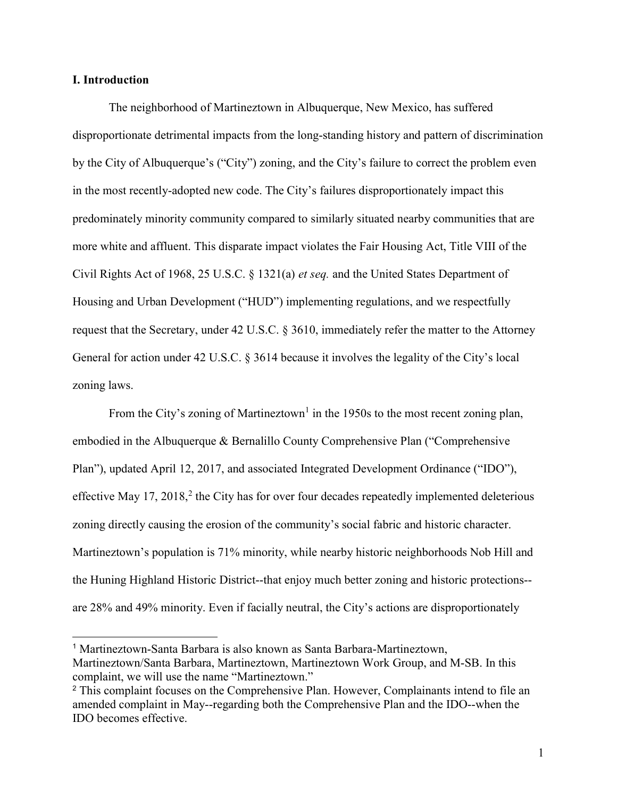#### I. Introduction

 $\overline{a}$ 

The neighborhood of Martineztown in Albuquerque, New Mexico, has suffered disproportionate detrimental impacts from the long-standing history and pattern of discrimination by the City of Albuquerque's ("City") zoning, and the City's failure to correct the problem even in the most recently-adopted new code. The City's failures disproportionately impact this predominately minority community compared to similarly situated nearby communities that are more white and affluent. This disparate impact violates the Fair Housing Act, Title VIII of the Civil Rights Act of 1968, 25 U.S.C. § 1321(a) et seq. and the United States Department of Housing and Urban Development ("HUD") implementing regulations, and we respectfully request that the Secretary, under 42 U.S.C. § 3610, immediately refer the matter to the Attorney General for action under 42 U.S.C. § 3614 because it involves the legality of the City's local zoning laws.

From the City's zoning of Martineztown<sup>1</sup> in the 1950s to the most recent zoning plan, embodied in the Albuquerque & Bernalillo County Comprehensive Plan ("Comprehensive Plan"), updated April 12, 2017, and associated Integrated Development Ordinance ("IDO"), effective May 17, 2018,<sup>2</sup> the City has for over four decades repeatedly implemented deleterious zoning directly causing the erosion of the community's social fabric and historic character. Martineztown's population is 71% minority, while nearby historic neighborhoods Nob Hill and the Huning Highland Historic District--that enjoy much better zoning and historic protections- are 28% and 49% minority. Even if facially neutral, the City's actions are disproportionately

<sup>1</sup> Martineztown-Santa Barbara is also known as Santa Barbara-Martineztown, Martineztown/Santa Barbara, Martineztown, Martineztown Work Group, and M-SB. In this complaint, we will use the name "Martineztown."

<sup>&</sup>lt;sup>2</sup> This complaint focuses on the Comprehensive Plan. However, Complainants intend to file an amended complaint in May--regarding both the Comprehensive Plan and the IDO--when the IDO becomes effective.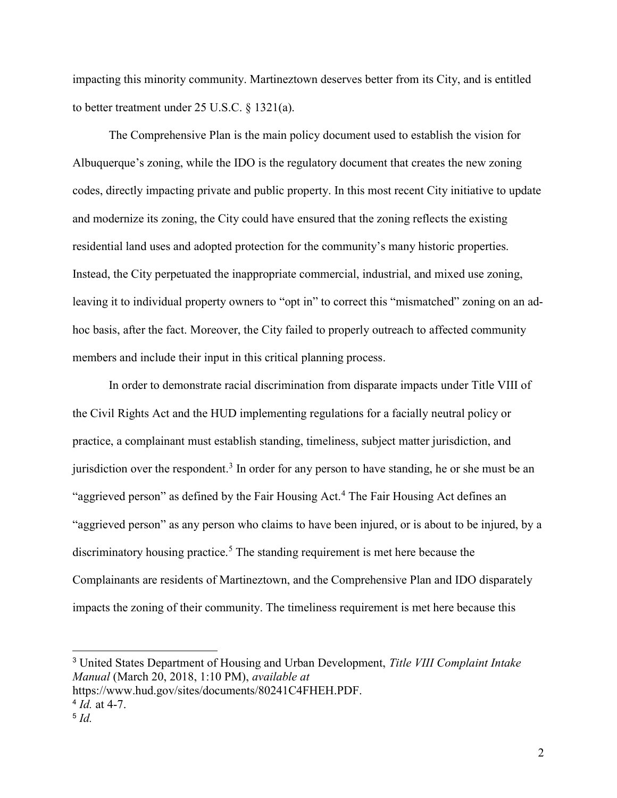impacting this minority community. Martineztown deserves better from its City, and is entitled to better treatment under 25 U.S.C. § 1321(a).

The Comprehensive Plan is the main policy document used to establish the vision for Albuquerque's zoning, while the IDO is the regulatory document that creates the new zoning codes, directly impacting private and public property. In this most recent City initiative to update and modernize its zoning, the City could have ensured that the zoning reflects the existing residential land uses and adopted protection for the community's many historic properties. Instead, the City perpetuated the inappropriate commercial, industrial, and mixed use zoning, leaving it to individual property owners to "opt in" to correct this "mismatched" zoning on an adhoc basis, after the fact. Moreover, the City failed to properly outreach to affected community members and include their input in this critical planning process.

 In order to demonstrate racial discrimination from disparate impacts under Title VIII of the Civil Rights Act and the HUD implementing regulations for a facially neutral policy or practice, a complainant must establish standing, timeliness, subject matter jurisdiction, and jurisdiction over the respondent.<sup>3</sup> In order for any person to have standing, he or she must be an "aggrieved person" as defined by the Fair Housing Act.<sup>4</sup> The Fair Housing Act defines an "aggrieved person" as any person who claims to have been injured, or is about to be injured, by a discriminatory housing practice.<sup>5</sup> The standing requirement is met here because the Complainants are residents of Martineztown, and the Comprehensive Plan and IDO disparately impacts the zoning of their community. The timeliness requirement is met here because this

<sup>&</sup>lt;sup>3</sup> United States Department of Housing and Urban Development, Title VIII Complaint Intake Manual (March 20, 2018, 1:10 PM), available at

https://www.hud.gov/sites/documents/80241C4FHEH.PDF.

 $4$  Id. at 4-7.

 $5$  Id.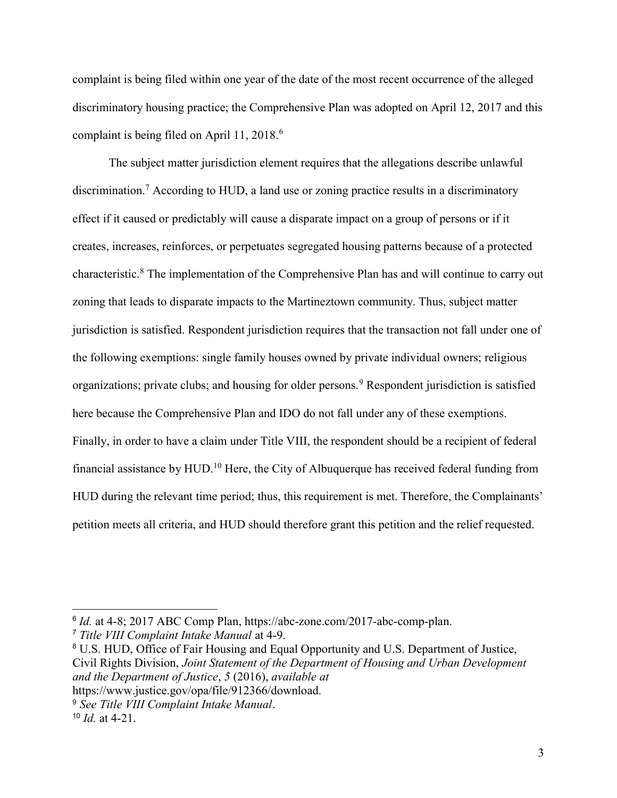complaint is being filed within one year of the date of the most recent occurrence of the alleged discriminatory housing practice; the Comprehensive Plan was adopted on April 12, 2017 and this complaint is being filed on April 11, 2018.<sup>6</sup>

The subject matter jurisdiction element requires that the allegations describe unlawful discrimination.<sup>7</sup> According to HUD, a land use or zoning practice results in a discriminatory effect if it caused or predictably will cause a disparate impact on a group of persons or if it creates, increases, reinforces, or perpetuates segregated housing patterns because of a protected characteristic.<sup>8</sup> The implementation of the Comprehensive Plan has and will continue to carry out zoning that leads to disparate impacts to the Martineztown community. Thus, subject matter jurisdiction is satisfied. Respondent jurisdiction requires that the transaction not fall under one of the following exemptions: single family houses owned by private individual owners; religious organizations; private clubs; and housing for older persons.<sup>9</sup> Respondent jurisdiction is satisfied here because the Comprehensive Plan and IDO do not fall under any of these exemptions. Finally, in order to have a claim under Title VIII, the respondent should be a recipient of federal financial assistance by HUD.<sup>10</sup> Here, the City of Albuquerque has received federal funding from HUD during the relevant time period; thus, this requirement is met. Therefore, the Complainants' petition meets all criteria, and HUD should therefore grant this petition and the relief requested.

 $6$  Id. at 4-8; 2017 ABC Comp Plan, https://abc-zone.com/2017-abc-comp-plan.

<sup>&</sup>lt;sup>7</sup> Title VIII Complaint Intake Manual at 4-9.

<sup>&</sup>lt;sup>8</sup> U.S. HUD, Office of Fair Housing and Equal Opportunity and U.S. Department of Justice, Civil Rights Division, Joint Statement of the Department of Housing and Urban Development and the Department of Justice, 5 (2016), available at

https://www.justice.gov/opa/file/912366/download.

<sup>9</sup> See Title VIII Complaint Intake Manual.

 $10$  *Id.* at 4-21.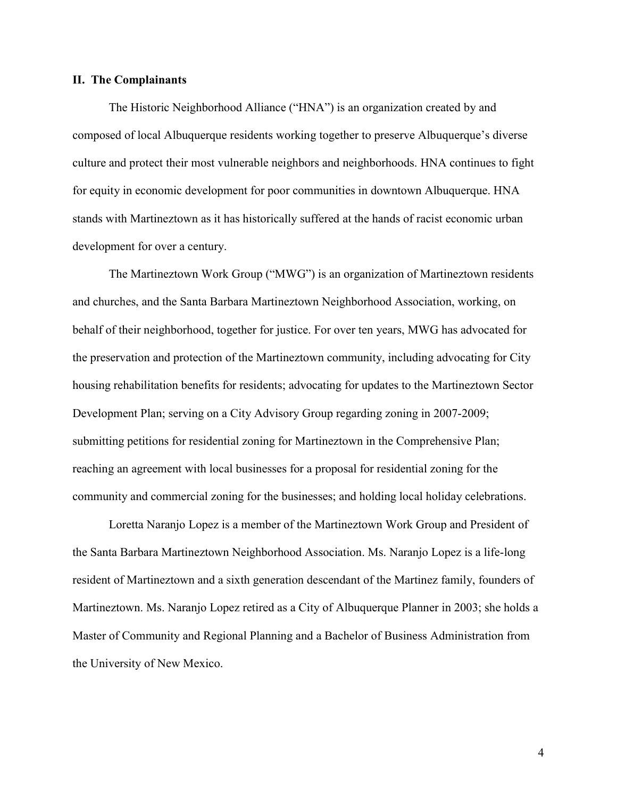#### II. The Complainants

The Historic Neighborhood Alliance ("HNA") is an organization created by and composed of local Albuquerque residents working together to preserve Albuquerque's diverse culture and protect their most vulnerable neighbors and neighborhoods. HNA continues to fight for equity in economic development for poor communities in downtown Albuquerque. HNA stands with Martineztown as it has historically suffered at the hands of racist economic urban development for over a century.

 The Martineztown Work Group ("MWG") is an organization of Martineztown residents and churches, and the Santa Barbara Martineztown Neighborhood Association, working, on behalf of their neighborhood, together for justice. For over ten years, MWG has advocated for the preservation and protection of the Martineztown community, including advocating for City housing rehabilitation benefits for residents; advocating for updates to the Martineztown Sector Development Plan; serving on a City Advisory Group regarding zoning in 2007-2009; submitting petitions for residential zoning for Martineztown in the Comprehensive Plan; reaching an agreement with local businesses for a proposal for residential zoning for the community and commercial zoning for the businesses; and holding local holiday celebrations.

 Loretta Naranjo Lopez is a member of the Martineztown Work Group and President of the Santa Barbara Martineztown Neighborhood Association. Ms. Naranjo Lopez is a life-long resident of Martineztown and a sixth generation descendant of the Martinez family, founders of Martineztown. Ms. Naranjo Lopez retired as a City of Albuquerque Planner in 2003; she holds a Master of Community and Regional Planning and a Bachelor of Business Administration from the University of New Mexico.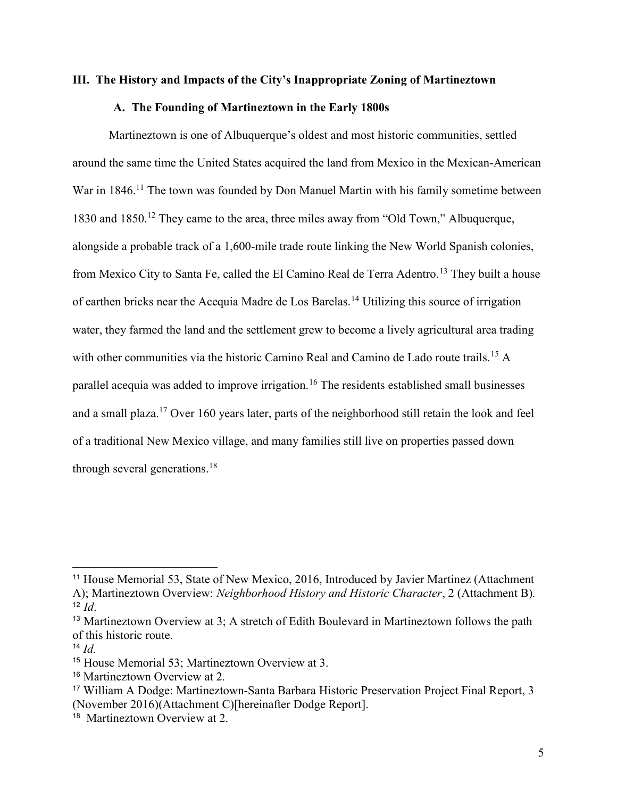#### III. The History and Impacts of the City's Inappropriate Zoning of Martineztown

## A. The Founding of Martineztown in the Early 1800s

Martineztown is one of Albuquerque's oldest and most historic communities, settled around the same time the United States acquired the land from Mexico in the Mexican-American War in 1846.<sup>11</sup> The town was founded by Don Manuel Martin with his family sometime between 1830 and 1850.<sup>12</sup> They came to the area, three miles away from "Old Town," Albuquerque, alongside a probable track of a 1,600-mile trade route linking the New World Spanish colonies, from Mexico City to Santa Fe, called the El Camino Real de Terra Adentro.<sup>13</sup> They built a house of earthen bricks near the Acequia Madre de Los Barelas.<sup>14</sup> Utilizing this source of irrigation water, they farmed the land and the settlement grew to become a lively agricultural area trading with other communities via the historic Camino Real and Camino de Lado route trails.<sup>15</sup> A parallel acequia was added to improve irrigation.<sup>16</sup> The residents established small businesses and a small plaza.<sup>17</sup> Over 160 years later, parts of the neighborhood still retain the look and feel of a traditional New Mexico village, and many families still live on properties passed down through several generations.<sup>18</sup>

<sup>&</sup>lt;sup>11</sup> House Memorial 53, State of New Mexico, 2016, Introduced by Javier Martinez (Attachment A); Martineztown Overview: Neighborhood History and Historic Character, 2 (Attachment B).  $12 \; Id.$ 

<sup>&</sup>lt;sup>13</sup> Martineztown Overview at 3; A stretch of Edith Boulevard in Martineztown follows the path of this historic route.

 $14$  *Id.* 

<sup>15</sup> House Memorial 53; Martineztown Overview at 3.

<sup>16</sup> Martineztown Overview at 2.

<sup>17</sup> William A Dodge: Martineztown-Santa Barbara Historic Preservation Project Final Report, 3 (November 2016)(Attachment C)[hereinafter Dodge Report].

<sup>&</sup>lt;sup>18</sup> Martineztown Overview at 2.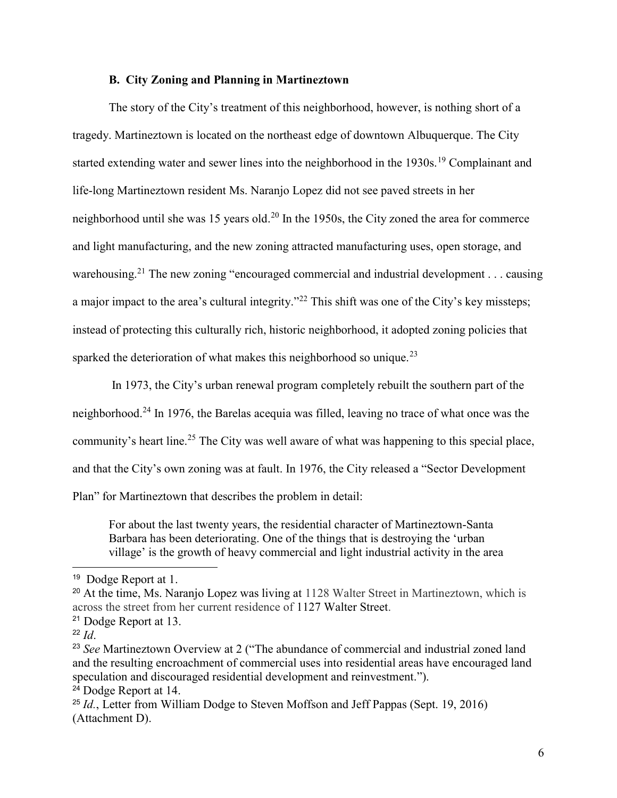#### B. City Zoning and Planning in Martineztown

The story of the City's treatment of this neighborhood, however, is nothing short of a tragedy. Martineztown is located on the northeast edge of downtown Albuquerque. The City started extending water and sewer lines into the neighborhood in the 1930s.<sup>19</sup> Complainant and life-long Martineztown resident Ms. Naranjo Lopez did not see paved streets in her neighborhood until she was 15 years old.<sup>20</sup> In the 1950s, the City zoned the area for commerce and light manufacturing, and the new zoning attracted manufacturing uses, open storage, and warehousing.<sup>21</sup> The new zoning "encouraged commercial and industrial development . . . causing a major impact to the area's cultural integrity."<sup>22</sup> This shift was one of the City's key missteps; instead of protecting this culturally rich, historic neighborhood, it adopted zoning policies that sparked the deterioration of what makes this neighborhood so unique.<sup>23</sup>

 In 1973, the City's urban renewal program completely rebuilt the southern part of the neighborhood.<sup>24</sup> In 1976, the Barelas acequia was filled, leaving no trace of what once was the community's heart line.<sup>25</sup> The City was well aware of what was happening to this special place, and that the City's own zoning was at fault. In 1976, the City released a "Sector Development Plan" for Martineztown that describes the problem in detail:

For about the last twenty years, the residential character of Martineztown-Santa Barbara has been deteriorating. One of the things that is destroying the 'urban village' is the growth of heavy commercial and light industrial activity in the area

- <sup>21</sup> Dodge Report at 13.
- $^{22}$  *Id.*

<sup>19</sup> Dodge Report at 1.

<sup>&</sup>lt;sup>20</sup> At the time, Ms. Naranjo Lopez was living at 1128 Walter Street in Martineztown, which is across the street from her current residence of 1127 Walter Street.

<sup>&</sup>lt;sup>23</sup> See Martineztown Overview at 2 ("The abundance of commercial and industrial zoned land and the resulting encroachment of commercial uses into residential areas have encouraged land speculation and discouraged residential development and reinvestment.").

<sup>24</sup> Dodge Report at 14.

 $25$  *Id.*, Letter from William Dodge to Steven Moffson and Jeff Pappas (Sept. 19, 2016) (Attachment D).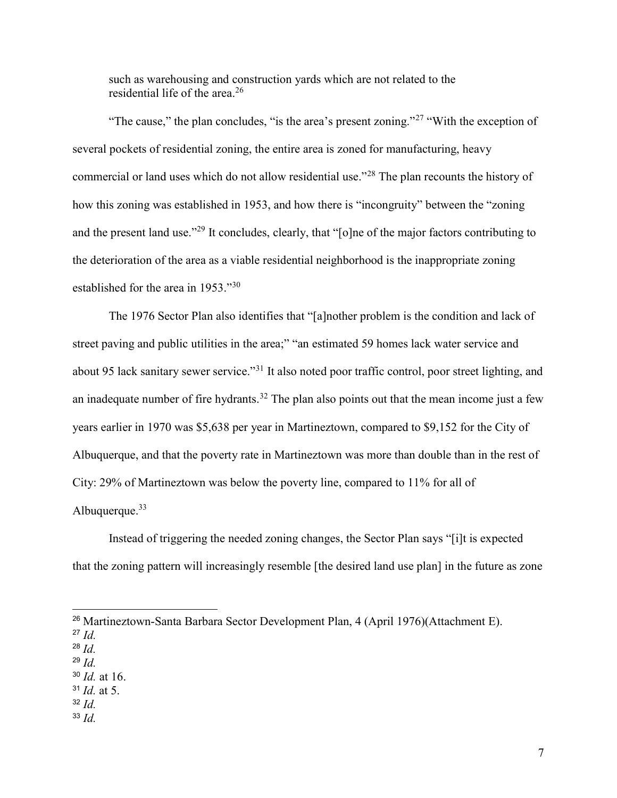such as warehousing and construction yards which are not related to the residential life of the area.<sup>26</sup>

"The cause," the plan concludes, "is the area's present zoning."<sup>27</sup> "With the exception of several pockets of residential zoning, the entire area is zoned for manufacturing, heavy commercial or land uses which do not allow residential use."<sup>28</sup> The plan recounts the history of how this zoning was established in 1953, and how there is "incongruity" between the "zoning and the present land use."<sup>29</sup> It concludes, clearly, that "[o]ne of the major factors contributing to the deterioration of the area as a viable residential neighborhood is the inappropriate zoning established for the area in 1953."<sup>30</sup>

The 1976 Sector Plan also identifies that "[a]nother problem is the condition and lack of street paving and public utilities in the area;" "an estimated 59 homes lack water service and about 95 lack sanitary sewer service."<sup>31</sup> It also noted poor traffic control, poor street lighting, and an inadequate number of fire hydrants.<sup>32</sup> The plan also points out that the mean income just a few years earlier in 1970 was \$5,638 per year in Martineztown, compared to \$9,152 for the City of Albuquerque, and that the poverty rate in Martineztown was more than double than in the rest of City: 29% of Martineztown was below the poverty line, compared to 11% for all of Albuquerque.<sup>33</sup>

Instead of triggering the needed zoning changes, the Sector Plan says "[i]t is expected that the zoning pattern will increasingly resemble [the desired land use plan] in the future as zone

- $^{28}$  *Id.*
- $^{29}$  Id.
- $30$  *Id.* at 16.  $31$  *Id.* at 5.
- $32$  *Id.*
- $33$  *Id.*

<sup>26</sup> Martineztown-Santa Barbara Sector Development Plan, 4 (April 1976)(Attachment E).

 $^{27}$  *Id.*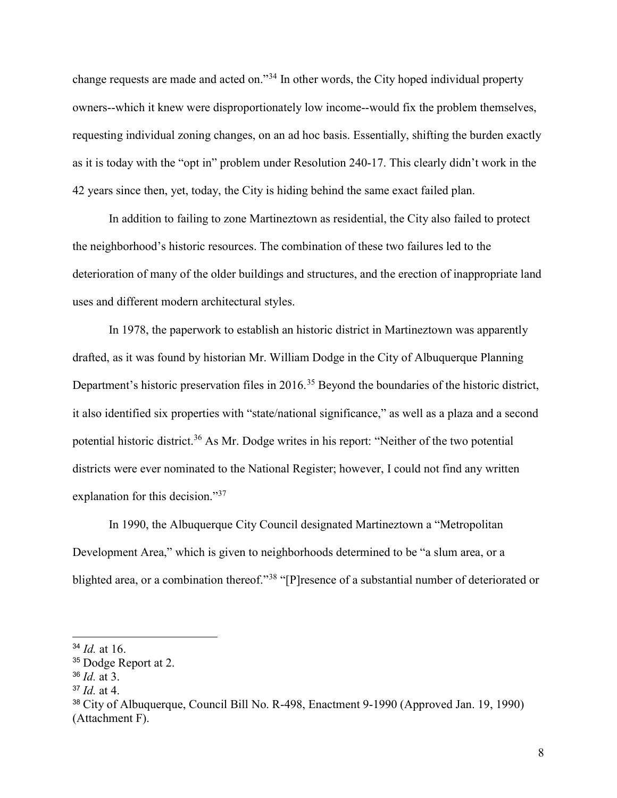change requests are made and acted on."<sup>34</sup> In other words, the City hoped individual property owners--which it knew were disproportionately low income--would fix the problem themselves, requesting individual zoning changes, on an ad hoc basis. Essentially, shifting the burden exactly as it is today with the "opt in" problem under Resolution 240-17. This clearly didn't work in the 42 years since then, yet, today, the City is hiding behind the same exact failed plan.

In addition to failing to zone Martineztown as residential, the City also failed to protect the neighborhood's historic resources. The combination of these two failures led to the deterioration of many of the older buildings and structures, and the erection of inappropriate land uses and different modern architectural styles.

In 1978, the paperwork to establish an historic district in Martineztown was apparently drafted, as it was found by historian Mr. William Dodge in the City of Albuquerque Planning Department's historic preservation files in 2016.<sup>35</sup> Beyond the boundaries of the historic district, it also identified six properties with "state/national significance," as well as a plaza and a second potential historic district.<sup>36</sup> As Mr. Dodge writes in his report: "Neither of the two potential districts were ever nominated to the National Register; however, I could not find any written explanation for this decision."<sup>37</sup>

In 1990, the Albuquerque City Council designated Martineztown a "Metropolitan Development Area," which is given to neighborhoods determined to be "a slum area, or a blighted area, or a combination thereof."<sup>38</sup> "[P]resence of a substantial number of deteriorated or

 $34$  *Id.* at 16.

<sup>35</sup> Dodge Report at 2.

 $36$  *Id.* at 3.

 $37$  *Id.* at 4.

<sup>38</sup> City of Albuquerque, Council Bill No. R-498, Enactment 9-1990 (Approved Jan. 19, 1990) (Attachment F).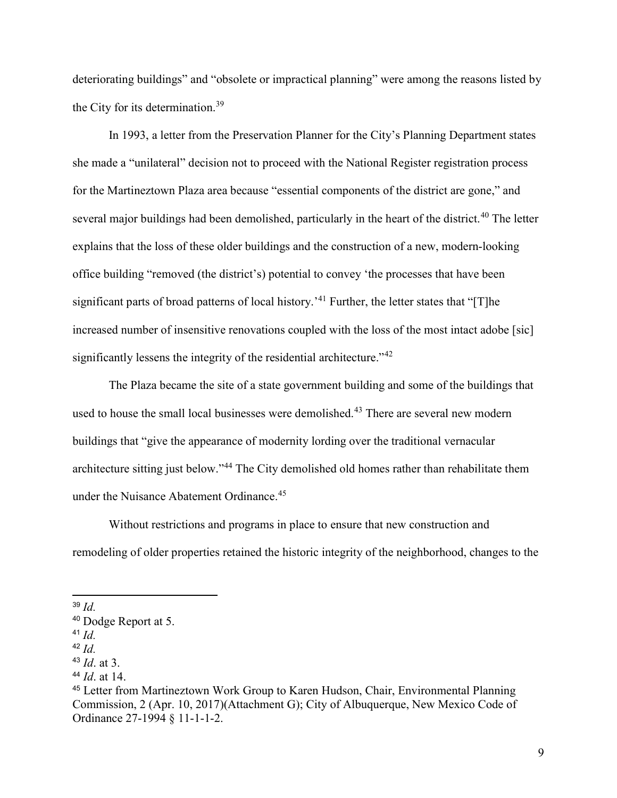deteriorating buildings" and "obsolete or impractical planning" were among the reasons listed by the City for its determination.<sup>39</sup>

In 1993, a letter from the Preservation Planner for the City's Planning Department states she made a "unilateral" decision not to proceed with the National Register registration process for the Martineztown Plaza area because "essential components of the district are gone," and several major buildings had been demolished, particularly in the heart of the district.<sup>40</sup> The letter explains that the loss of these older buildings and the construction of a new, modern-looking office building "removed (the district's) potential to convey 'the processes that have been significant parts of broad patterns of local history.<sup>'41</sup> Further, the letter states that "[T]he increased number of insensitive renovations coupled with the loss of the most intact adobe [sic] significantly lessens the integrity of the residential architecture."<sup>42</sup>

The Plaza became the site of a state government building and some of the buildings that used to house the small local businesses were demolished.<sup>43</sup> There are several new modern buildings that "give the appearance of modernity lording over the traditional vernacular architecture sitting just below."<sup>44</sup> The City demolished old homes rather than rehabilitate them under the Nuisance Abatement Ordinance.<sup>45</sup>

Without restrictions and programs in place to ensure that new construction and remodeling of older properties retained the historic integrity of the neighborhood, changes to the

 $39$   $Id$ .

<sup>40</sup> Dodge Report at 5.

 $41$  *Id.* 

 $42$  Id.

 $43$  *Id.* at 3.

 $44$  *Id.* at 14.

<sup>45</sup> Letter from Martineztown Work Group to Karen Hudson, Chair, Environmental Planning Commission, 2 (Apr. 10, 2017)(Attachment G); City of Albuquerque, New Mexico Code of Ordinance 27-1994 § 11-1-1-2.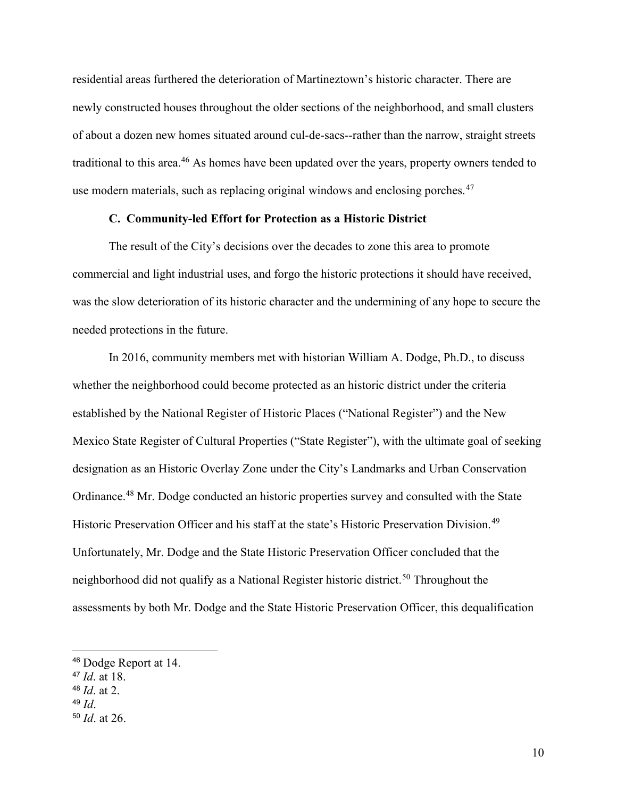residential areas furthered the deterioration of Martineztown's historic character. There are newly constructed houses throughout the older sections of the neighborhood, and small clusters of about a dozen new homes situated around cul-de-sacs--rather than the narrow, straight streets traditional to this area.<sup>46</sup> As homes have been updated over the years, property owners tended to use modern materials, such as replacing original windows and enclosing porches.<sup>47</sup>

## C. Community-led Effort for Protection as a Historic District

The result of the City's decisions over the decades to zone this area to promote commercial and light industrial uses, and forgo the historic protections it should have received, was the slow deterioration of its historic character and the undermining of any hope to secure the needed protections in the future.

In 2016, community members met with historian William A. Dodge, Ph.D., to discuss whether the neighborhood could become protected as an historic district under the criteria established by the National Register of Historic Places ("National Register") and the New Mexico State Register of Cultural Properties ("State Register"), with the ultimate goal of seeking designation as an Historic Overlay Zone under the City's Landmarks and Urban Conservation Ordinance.<sup>48</sup> Mr. Dodge conducted an historic properties survey and consulted with the State Historic Preservation Officer and his staff at the state's Historic Preservation Division.<sup>49</sup> Unfortunately, Mr. Dodge and the State Historic Preservation Officer concluded that the neighborhood did not qualify as a National Register historic district.<sup>50</sup> Throughout the assessments by both Mr. Dodge and the State Historic Preservation Officer, this dequalification

- $47$  *Id.* at 18.
- $48$  *Id.* at 2.
- $49$  *Id.*

<sup>46</sup> Dodge Report at 14.

 $50$  *Id.* at 26.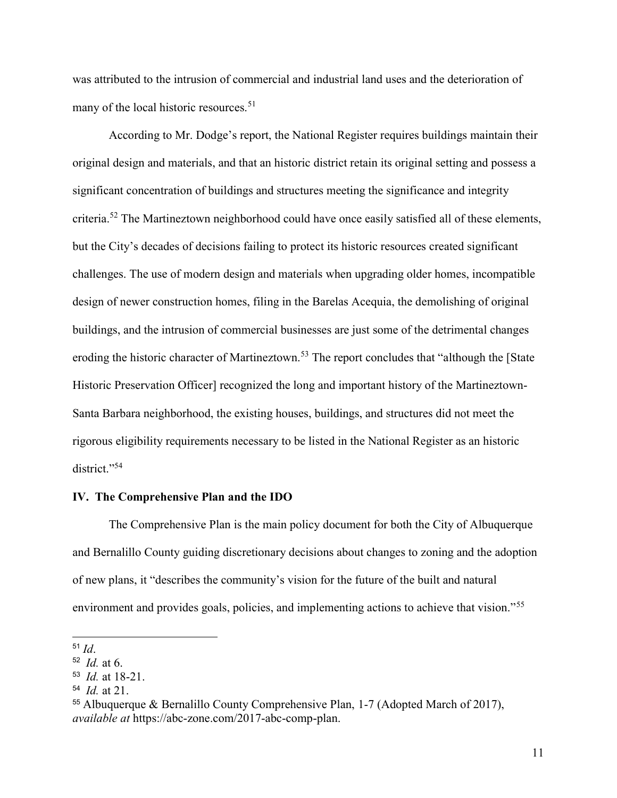was attributed to the intrusion of commercial and industrial land uses and the deterioration of many of the local historic resources.<sup>51</sup>

According to Mr. Dodge's report, the National Register requires buildings maintain their original design and materials, and that an historic district retain its original setting and possess a significant concentration of buildings and structures meeting the significance and integrity criteria.<sup>52</sup> The Martineztown neighborhood could have once easily satisfied all of these elements, but the City's decades of decisions failing to protect its historic resources created significant challenges. The use of modern design and materials when upgrading older homes, incompatible design of newer construction homes, filing in the Barelas Acequia, the demolishing of original buildings, and the intrusion of commercial businesses are just some of the detrimental changes eroding the historic character of Martineztown.<sup>53</sup> The report concludes that "although the [State Historic Preservation Officer] recognized the long and important history of the Martineztown-Santa Barbara neighborhood, the existing houses, buildings, and structures did not meet the rigorous eligibility requirements necessary to be listed in the National Register as an historic district."<sup>54</sup>

#### IV. The Comprehensive Plan and the IDO

The Comprehensive Plan is the main policy document for both the City of Albuquerque and Bernalillo County guiding discretionary decisions about changes to zoning and the adoption of new plans, it "describes the community's vision for the future of the built and natural environment and provides goals, policies, and implementing actions to achieve that vision."<sup>55</sup>

 $51$  *Id.* 

 $52$  *Id.* at 6.

<sup>53</sup> Id. at 18-21.

 $54$  *Id.* at 21.

<sup>55</sup> Albuquerque & Bernalillo County Comprehensive Plan, 1-7 (Adopted March of 2017), available at https://abc-zone.com/2017-abc-comp-plan.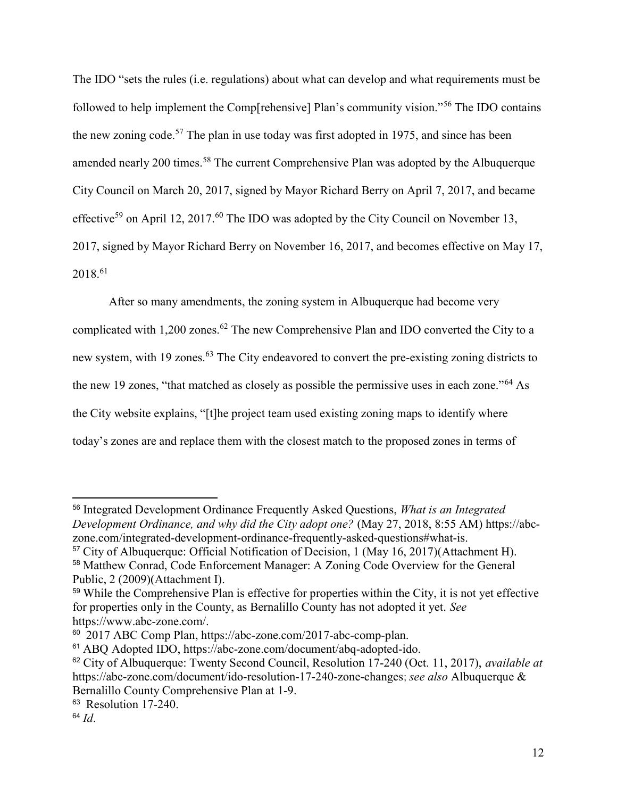The IDO "sets the rules (i.e. regulations) about what can develop and what requirements must be followed to help implement the Comp[rehensive] Plan's community vision."<sup>56</sup> The IDO contains the new zoning code.<sup>57</sup> The plan in use today was first adopted in 1975, and since has been amended nearly 200 times.<sup>58</sup> The current Comprehensive Plan was adopted by the Albuquerque City Council on March 20, 2017, signed by Mayor Richard Berry on April 7, 2017, and became effective<sup>59</sup> on April 12, 2017.<sup>60</sup> The IDO was adopted by the City Council on November 13, 2017, signed by Mayor Richard Berry on November 16, 2017, and becomes effective on May 17, 2018.<sup>61</sup>

After so many amendments, the zoning system in Albuquerque had become very complicated with 1,200 zones.<sup>62</sup> The new Comprehensive Plan and IDO converted the City to a new system, with 19 zones.<sup>63</sup> The City endeavored to convert the pre-existing zoning districts to the new 19 zones, "that matched as closely as possible the permissive uses in each zone."<sup>64</sup> As the City website explains, "[t]he project team used existing zoning maps to identify where today's zones are and replace them with the closest match to the proposed zones in terms of

<sup>&</sup>lt;sup>56</sup> Integrated Development Ordinance Frequently Asked Questions, *What is an Integrated* Development Ordinance, and why did the City adopt one? (May 27, 2018, 8:55 AM) https://abczone.com/integrated-development-ordinance-frequently-asked-questions#what-is.

<sup>57</sup> City of Albuquerque: Official Notification of Decision, 1 (May 16, 2017)(Attachment H).

<sup>58</sup> Matthew Conrad, Code Enforcement Manager: A Zoning Code Overview for the General Public, 2 (2009)(Attachment I).

<sup>&</sup>lt;sup>59</sup> While the Comprehensive Plan is effective for properties within the City, it is not yet effective for properties only in the County, as Bernalillo County has not adopted it yet. See https://www.abc-zone.com/.

<sup>60</sup> 2017 ABC Comp Plan, https://abc-zone.com/2017-abc-comp-plan.

<sup>61</sup> ABQ Adopted IDO, https://abc-zone.com/document/abq-adopted-ido.

 $62$  City of Albuquerque: Twenty Second Council, Resolution 17-240 (Oct. 11, 2017), *available at* https://abc-zone.com/document/ido-resolution-17-240-zone-changes; see also Albuquerque & Bernalillo County Comprehensive Plan at 1-9.

<sup>&</sup>lt;sup>63</sup> Resolution 17-240.

 $64$  *Id.*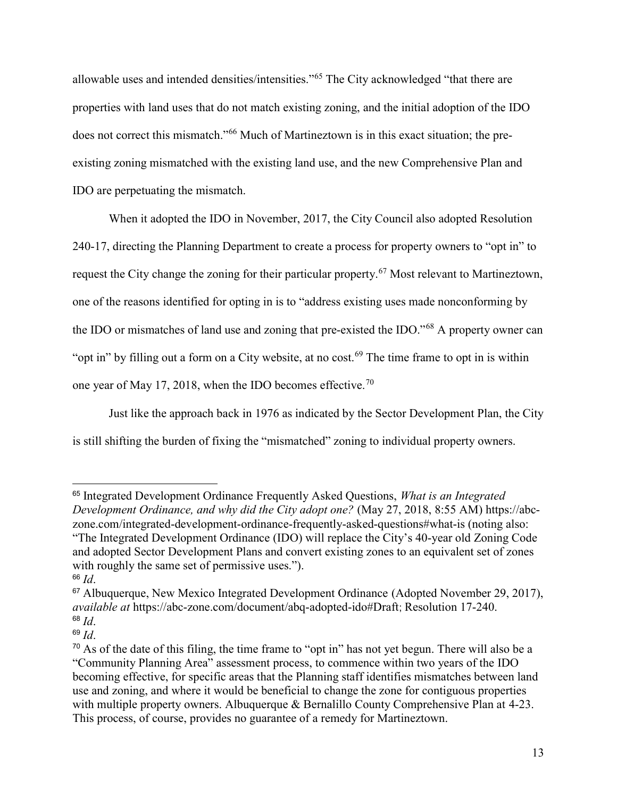allowable uses and intended densities/intensities."<sup>65</sup> The City acknowledged "that there are properties with land uses that do not match existing zoning, and the initial adoption of the IDO does not correct this mismatch."<sup>66</sup> Much of Martineztown is in this exact situation; the preexisting zoning mismatched with the existing land use, and the new Comprehensive Plan and IDO are perpetuating the mismatch.

When it adopted the IDO in November, 2017, the City Council also adopted Resolution 240-17, directing the Planning Department to create a process for property owners to "opt in" to request the City change the zoning for their particular property.<sup>67</sup> Most relevant to Martineztown, one of the reasons identified for opting in is to "address existing uses made nonconforming by the IDO or mismatches of land use and zoning that pre-existed the IDO."<sup>68</sup> A property owner can "opt in" by filling out a form on a City website, at no cost.<sup>69</sup> The time frame to opt in is within one year of May 17, 2018, when the IDO becomes effective.<sup>70</sup>

Just like the approach back in 1976 as indicated by the Sector Development Plan, the City is still shifting the burden of fixing the "mismatched" zoning to individual property owners.

<sup>&</sup>lt;sup>65</sup> Integrated Development Ordinance Frequently Asked Questions, *What is an Integrated* Development Ordinance, and why did the City adopt one? (May 27, 2018, 8:55 AM) https://abczone.com/integrated-development-ordinance-frequently-asked-questions#what-is (noting also: "The Integrated Development Ordinance (IDO) will replace the City's 40-year old Zoning Code and adopted Sector Development Plans and convert existing zones to an equivalent set of zones with roughly the same set of permissive uses.").

 $66$  *Id.* 

<sup>&</sup>lt;sup>67</sup> Albuquerque, New Mexico Integrated Development Ordinance (Adopted November 29, 2017), available at https://abc-zone.com/document/abq-adopted-ido#Draft; Resolution 17-240.  $68$  *Id.* 

 $69$  *Id.* 

<sup>70</sup> As of the date of this filing, the time frame to "opt in" has not yet begun. There will also be a "Community Planning Area" assessment process, to commence within two years of the IDO becoming effective, for specific areas that the Planning staff identifies mismatches between land use and zoning, and where it would be beneficial to change the zone for contiguous properties with multiple property owners. Albuquerque & Bernalillo County Comprehensive Plan at 4-23. This process, of course, provides no guarantee of a remedy for Martineztown.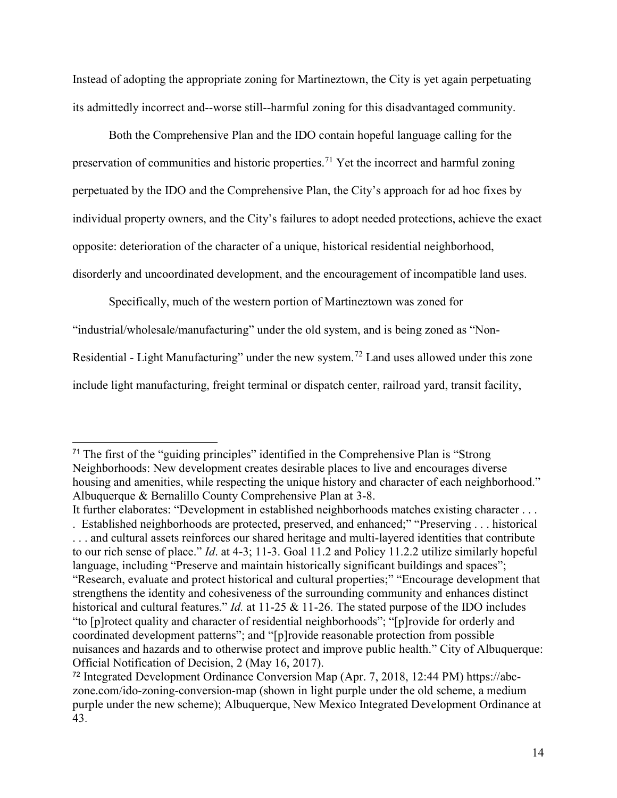Instead of adopting the appropriate zoning for Martineztown, the City is yet again perpetuating its admittedly incorrect and--worse still--harmful zoning for this disadvantaged community.

Both the Comprehensive Plan and the IDO contain hopeful language calling for the preservation of communities and historic properties.<sup>71</sup> Yet the incorrect and harmful zoning perpetuated by the IDO and the Comprehensive Plan, the City's approach for ad hoc fixes by individual property owners, and the City's failures to adopt needed protections, achieve the exact opposite: deterioration of the character of a unique, historical residential neighborhood, disorderly and uncoordinated development, and the encouragement of incompatible land uses.

Specifically, much of the western portion of Martineztown was zoned for

"industrial/wholesale/manufacturing" under the old system, and is being zoned as "Non-

Residential - Light Manufacturing" under the new system.<sup>72</sup> Land uses allowed under this zone

include light manufacturing, freight terminal or dispatch center, railroad yard, transit facility,

 $\overline{a}$ <sup>71</sup> The first of the "guiding principles" identified in the Comprehensive Plan is "Strong Neighborhoods: New development creates desirable places to live and encourages diverse housing and amenities, while respecting the unique history and character of each neighborhood." Albuquerque & Bernalillo County Comprehensive Plan at 3-8.

It further elaborates: "Development in established neighborhoods matches existing character . . . . Established neighborhoods are protected, preserved, and enhanced;" "Preserving . . . historical . . . and cultural assets reinforces our shared heritage and multi-layered identities that contribute to our rich sense of place." Id. at 4-3; 11-3. Goal 11.2 and Policy 11.2.2 utilize similarly hopeful language, including "Preserve and maintain historically significant buildings and spaces"; "Research, evaluate and protect historical and cultural properties;" "Encourage development that strengthens the identity and cohesiveness of the surrounding community and enhances distinct historical and cultural features." *Id.* at 11-25 & 11-26. The stated purpose of the IDO includes "to [p]rotect quality and character of residential neighborhoods"; "[p]rovide for orderly and coordinated development patterns"; and "[p]rovide reasonable protection from possible nuisances and hazards and to otherwise protect and improve public health." City of Albuquerque: Official Notification of Decision, 2 (May 16, 2017).

<sup>72</sup> Integrated Development Ordinance Conversion Map (Apr. 7, 2018, 12:44 PM) https://abczone.com/ido-zoning-conversion-map (shown in light purple under the old scheme, a medium purple under the new scheme); Albuquerque, New Mexico Integrated Development Ordinance at 43.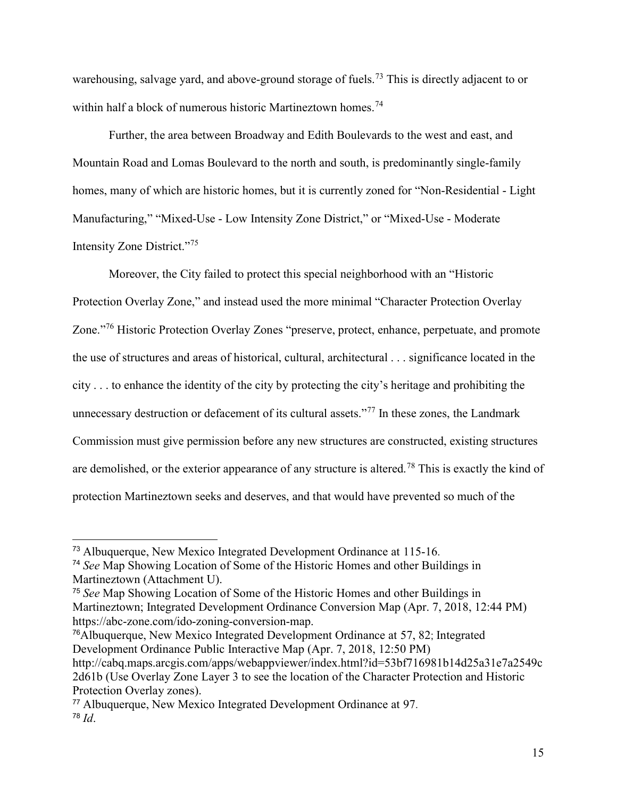warehousing, salvage yard, and above-ground storage of fuels.<sup>73</sup> This is directly adjacent to or within half a block of numerous historic Martineztown homes.<sup>74</sup>

Further, the area between Broadway and Edith Boulevards to the west and east, and Mountain Road and Lomas Boulevard to the north and south, is predominantly single-family homes, many of which are historic homes, but it is currently zoned for "Non-Residential - Light Manufacturing," "Mixed-Use - Low Intensity Zone District," or "Mixed-Use - Moderate Intensity Zone District."<sup>75</sup>

Moreover, the City failed to protect this special neighborhood with an "Historic Protection Overlay Zone," and instead used the more minimal "Character Protection Overlay Zone."<sup>76</sup> Historic Protection Overlay Zones "preserve, protect, enhance, perpetuate, and promote the use of structures and areas of historical, cultural, architectural . . . significance located in the city . . . to enhance the identity of the city by protecting the city's heritage and prohibiting the unnecessary destruction or defacement of its cultural assets."<sup>77</sup> In these zones, the Landmark Commission must give permission before any new structures are constructed, existing structures are demolished, or the exterior appearance of any structure is altered.<sup>78</sup> This is exactly the kind of protection Martineztown seeks and deserves, and that would have prevented so much of the

<sup>76</sup>Albuquerque, New Mexico Integrated Development Ordinance at 57, 82; Integrated Development Ordinance Public Interactive Map (Apr. 7, 2018, 12:50 PM) http://cabq.maps.arcgis.com/apps/webappviewer/index.html?id=53bf716981b14d25a31e7a2549c 2d61b (Use Overlay Zone Layer 3 to see the location of the Character Protection and Historic Protection Overlay zones).

<sup>73</sup> Albuquerque, New Mexico Integrated Development Ordinance at 115-16.

<sup>&</sup>lt;sup>74</sup> See Map Showing Location of Some of the Historic Homes and other Buildings in Martineztown (Attachment U).

<sup>&</sup>lt;sup>75</sup> See Map Showing Location of Some of the Historic Homes and other Buildings in Martineztown; Integrated Development Ordinance Conversion Map (Apr. 7, 2018, 12:44 PM) https://abc-zone.com/ido-zoning-conversion-map.

<sup>77</sup> Albuquerque, New Mexico Integrated Development Ordinance at 97.  $78$  *Id.*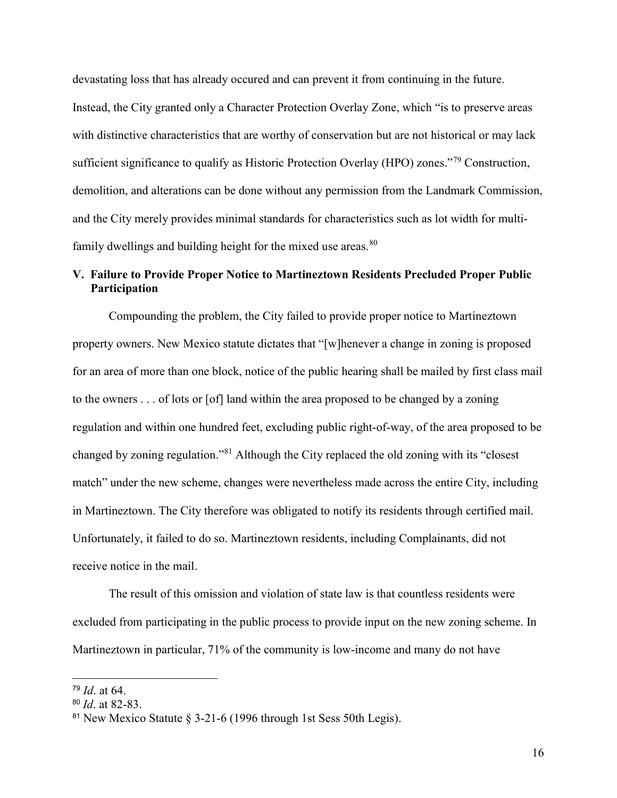devastating loss that has already occured and can prevent it from continuing in the future. Instead, the City granted only a Character Protection Overlay Zone, which "is to preserve areas with distinctive characteristics that are worthy of conservation but are not historical or may lack sufficient significance to qualify as Historic Protection Overlay (HPO) zones."<sup>79</sup> Construction, demolition, and alterations can be done without any permission from the Landmark Commission, and the City merely provides minimal standards for characteristics such as lot width for multifamily dwellings and building height for the mixed use areas.<sup>80</sup>

## V. Failure to Provide Proper Notice to Martineztown Residents Precluded Proper Public Participation

Compounding the problem, the City failed to provide proper notice to Martineztown property owners. New Mexico statute dictates that "[w]henever a change in zoning is proposed for an area of more than one block, notice of the public hearing shall be mailed by first class mail to the owners . . . of lots or [of] land within the area proposed to be changed by a zoning regulation and within one hundred feet, excluding public right-of-way, of the area proposed to be changed by zoning regulation."<sup>81</sup> Although the City replaced the old zoning with its "closest match" under the new scheme, changes were nevertheless made across the entire City, including in Martineztown. The City therefore was obligated to notify its residents through certified mail. Unfortunately, it failed to do so. Martineztown residents, including Complainants, did not receive notice in the mail.

The result of this omission and violation of state law is that countless residents were excluded from participating in the public process to provide input on the new zoning scheme. In Martineztown in particular, 71% of the community is low-income and many do not have

 $79$  *Id.* at 64.

 $80$  *Id.* at 82-83.

<sup>&</sup>lt;sup>81</sup> New Mexico Statute  $\S$  3-21-6 (1996 through 1st Sess 50th Legis).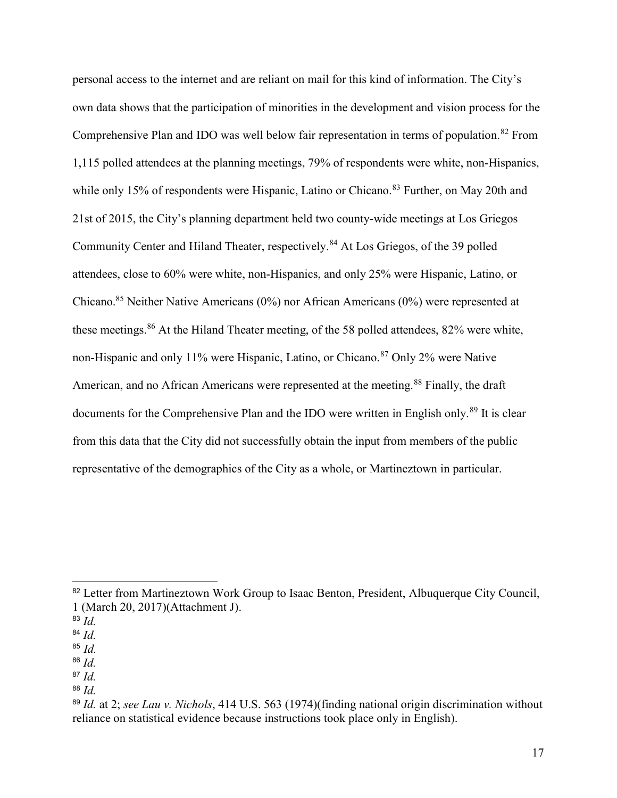personal access to the internet and are reliant on mail for this kind of information. The City's own data shows that the participation of minorities in the development and vision process for the Comprehensive Plan and IDO was well below fair representation in terms of population.<sup>82</sup> From 1,115 polled attendees at the planning meetings, 79% of respondents were white, non-Hispanics, while only 15% of respondents were Hispanic, Latino or Chicano.<sup>83</sup> Further, on May 20th and 21st of 2015, the City's planning department held two county-wide meetings at Los Griegos Community Center and Hiland Theater, respectively.<sup>84</sup> At Los Griegos, of the 39 polled attendees, close to 60% were white, non-Hispanics, and only 25% were Hispanic, Latino, or Chicano.<sup>85</sup> Neither Native Americans  $(0\%)$  nor African Americans  $(0\%)$  were represented at these meetings.<sup>86</sup> At the Hiland Theater meeting, of the 58 polled attendees, 82% were white, non-Hispanic and only 11% were Hispanic, Latino, or Chicano.<sup>87</sup> Only 2% were Native American, and no African Americans were represented at the meeting.<sup>88</sup> Finally, the draft documents for the Comprehensive Plan and the IDO were written in English only.<sup>89</sup> It is clear from this data that the City did not successfully obtain the input from members of the public representative of the demographics of the City as a whole, or Martineztown in particular.

 $\overline{a}$ 

 $88$  *Id.* 

<sup>&</sup>lt;sup>82</sup> Letter from Martineztown Work Group to Isaac Benton, President, Albuquerque City Council, 1 (March 20, 2017)(Attachment J).

 $83$  Id.

 $84$  *Id.* 

 $85$  *Id.*  $86$  Id.

 $87$  *Id.* 

 $89$  Id. at 2; see Lau v. Nichols, 414 U.S. 563 (1974)(finding national origin discrimination without reliance on statistical evidence because instructions took place only in English).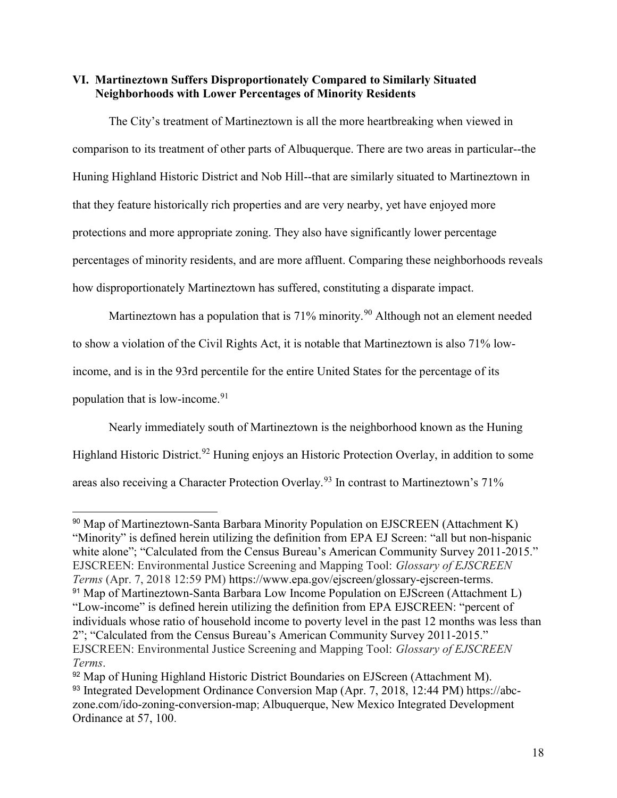## VI. Martineztown Suffers Disproportionately Compared to Similarly Situated Neighborhoods with Lower Percentages of Minority Residents

The City's treatment of Martineztown is all the more heartbreaking when viewed in comparison to its treatment of other parts of Albuquerque. There are two areas in particular--the Huning Highland Historic District and Nob Hill--that are similarly situated to Martineztown in that they feature historically rich properties and are very nearby, yet have enjoyed more protections and more appropriate zoning. They also have significantly lower percentage percentages of minority residents, and are more affluent. Comparing these neighborhoods reveals how disproportionately Martineztown has suffered, constituting a disparate impact.

Martineztown has a population that is  $71\%$  minority.<sup>90</sup> Although not an element needed to show a violation of the Civil Rights Act, it is notable that Martineztown is also 71% lowincome, and is in the 93rd percentile for the entire United States for the percentage of its population that is low-income.<sup>91</sup>

Nearly immediately south of Martineztown is the neighborhood known as the Huning Highland Historic District.<sup>92</sup> Huning enjoys an Historic Protection Overlay, in addition to some areas also receiving a Character Protection Overlay.<sup>93</sup> In contrast to Martineztown's 71%

<sup>90</sup> Map of Martineztown-Santa Barbara Minority Population on EJSCREEN (Attachment K) "Minority" is defined herein utilizing the definition from EPA EJ Screen: "all but non-hispanic white alone"; "Calculated from the Census Bureau's American Community Survey 2011-2015." EJSCREEN: Environmental Justice Screening and Mapping Tool: Glossary of EJSCREEN Terms (Apr. 7, 2018 12:59 PM) https://www.epa.gov/ejscreen/glossary-ejscreen-terms. <sup>91</sup> Map of Martineztown-Santa Barbara Low Income Population on EJScreen (Attachment L) "Low-income" is defined herein utilizing the definition from EPA EJSCREEN: "percent of individuals whose ratio of household income to poverty level in the past 12 months was less than 2"; "Calculated from the Census Bureau's American Community Survey 2011-2015." EJSCREEN: Environmental Justice Screening and Mapping Tool: Glossary of EJSCREEN Terms.

<sup>&</sup>lt;sup>92</sup> Map of Huning Highland Historic District Boundaries on EJScreen (Attachment M). 93 Integrated Development Ordinance Conversion Map (Apr. 7, 2018, 12:44 PM) https://abczone.com/ido-zoning-conversion-map; Albuquerque, New Mexico Integrated Development Ordinance at 57, 100.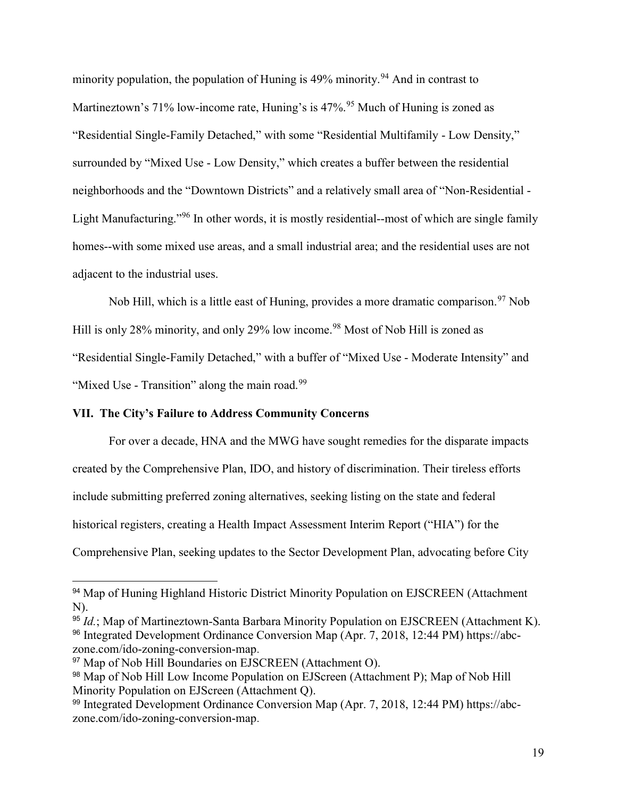minority population, the population of Huning is  $49\%$  minority.<sup>94</sup> And in contrast to Martineztown's 71% low-income rate, Huning's is 47%.<sup>95</sup> Much of Huning is zoned as "Residential Single-Family Detached," with some "Residential Multifamily - Low Density," surrounded by "Mixed Use - Low Density," which creates a buffer between the residential neighborhoods and the "Downtown Districts" and a relatively small area of "Non-Residential - Light Manufacturing."<sup>96</sup> In other words, it is mostly residential--most of which are single family homes--with some mixed use areas, and a small industrial area; and the residential uses are not adjacent to the industrial uses.

Nob Hill, which is a little east of Huning, provides a more dramatic comparison.<sup>97</sup> Nob Hill is only 28% minority, and only 29% low income.<sup>98</sup> Most of Nob Hill is zoned as "Residential Single-Family Detached," with a buffer of "Mixed Use - Moderate Intensity" and "Mixed Use - Transition" along the main road.<sup>99</sup>

#### VII. The City's Failure to Address Community Concerns

For over a decade, HNA and the MWG have sought remedies for the disparate impacts created by the Comprehensive Plan, IDO, and history of discrimination. Their tireless efforts include submitting preferred zoning alternatives, seeking listing on the state and federal historical registers, creating a Health Impact Assessment Interim Report ("HIA") for the Comprehensive Plan, seeking updates to the Sector Development Plan, advocating before City

<sup>&</sup>lt;sup>94</sup> Map of Huning Highland Historic District Minority Population on EJSCREEN (Attachment N).

 $95 \dot{A}$ : Map of Martineztown-Santa Barbara Minority Population on EJSCREEN (Attachment K). 96 Integrated Development Ordinance Conversion Map (Apr. 7, 2018, 12:44 PM) https://abczone.com/ido-zoning-conversion-map.

<sup>&</sup>lt;sup>97</sup> Map of Nob Hill Boundaries on EJSCREEN (Attachment O).

<sup>98</sup> Map of Nob Hill Low Income Population on EJScreen (Attachment P); Map of Nob Hill Minority Population on EJScreen (Attachment Q).

<sup>99</sup> Integrated Development Ordinance Conversion Map (Apr. 7, 2018, 12:44 PM) https://abczone.com/ido-zoning-conversion-map.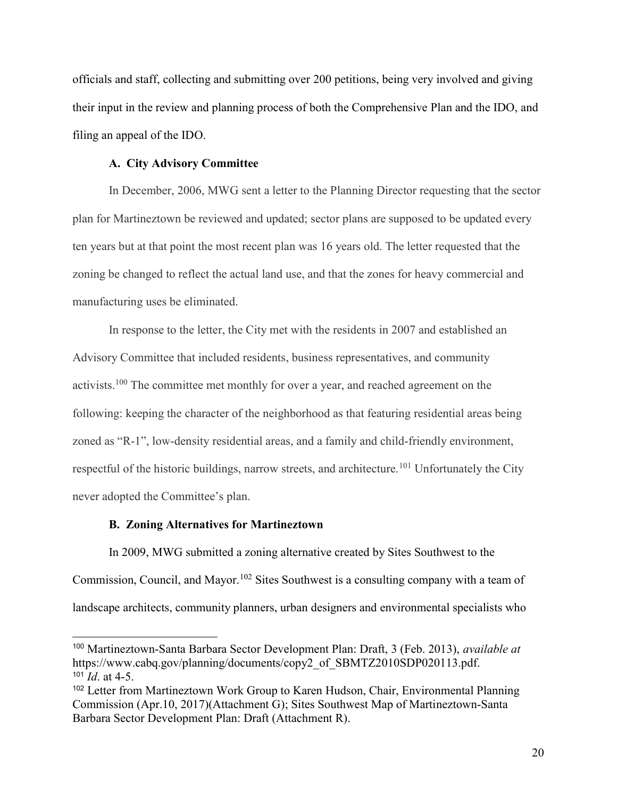officials and staff, collecting and submitting over 200 petitions, being very involved and giving their input in the review and planning process of both the Comprehensive Plan and the IDO, and filing an appeal of the IDO.

#### A. City Advisory Committee

In December, 2006, MWG sent a letter to the Planning Director requesting that the sector plan for Martineztown be reviewed and updated; sector plans are supposed to be updated every ten years but at that point the most recent plan was 16 years old. The letter requested that the zoning be changed to reflect the actual land use, and that the zones for heavy commercial and manufacturing uses be eliminated.

In response to the letter, the City met with the residents in 2007 and established an Advisory Committee that included residents, business representatives, and community activists.<sup>100</sup> The committee met monthly for over a year, and reached agreement on the following: keeping the character of the neighborhood as that featuring residential areas being zoned as "R-1", low-density residential areas, and a family and child-friendly environment, respectful of the historic buildings, narrow streets, and architecture.<sup>101</sup> Unfortunately the City never adopted the Committee's plan.

#### B. Zoning Alternatives for Martineztown

 $\overline{a}$ 

 In 2009, MWG submitted a zoning alternative created by Sites Southwest to the Commission, Council, and Mayor.<sup>102</sup> Sites Southwest is a consulting company with a team of landscape architects, community planners, urban designers and environmental specialists who

<sup>&</sup>lt;sup>100</sup> Martineztown-Santa Barbara Sector Development Plan: Draft, 3 (Feb. 2013), *available at* https://www.cabq.gov/planning/documents/copy2\_of\_SBMTZ2010SDP020113.pdf.  $101$  *Id.* at 4-5.

<sup>&</sup>lt;sup>102</sup> Letter from Martineztown Work Group to Karen Hudson, Chair, Environmental Planning Commission (Apr.10, 2017)(Attachment G); Sites Southwest Map of Martineztown-Santa Barbara Sector Development Plan: Draft (Attachment R).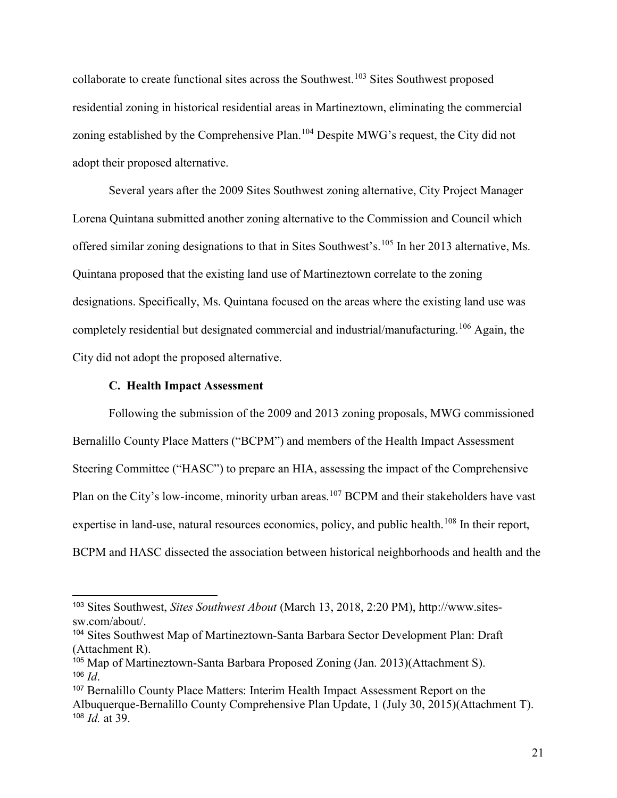collaborate to create functional sites across the Southwest.<sup>103</sup> Sites Southwest proposed residential zoning in historical residential areas in Martineztown, eliminating the commercial zoning established by the Comprehensive Plan.<sup>104</sup> Despite MWG's request, the City did not adopt their proposed alternative.

Several years after the 2009 Sites Southwest zoning alternative, City Project Manager Lorena Quintana submitted another zoning alternative to the Commission and Council which offered similar zoning designations to that in Sites Southwest's.<sup>105</sup> In her 2013 alternative, Ms. Quintana proposed that the existing land use of Martineztown correlate to the zoning designations. Specifically, Ms. Quintana focused on the areas where the existing land use was completely residential but designated commercial and industrial/manufacturing.<sup>106</sup> Again, the City did not adopt the proposed alternative.

#### C. Health Impact Assessment

 $\overline{a}$ 

Following the submission of the 2009 and 2013 zoning proposals, MWG commissioned Bernalillo County Place Matters ("BCPM") and members of the Health Impact Assessment Steering Committee ("HASC") to prepare an HIA, assessing the impact of the Comprehensive Plan on the City's low-income, minority urban areas.<sup>107</sup> BCPM and their stakeholders have vast expertise in land-use, natural resources economics, policy, and public health.<sup>108</sup> In their report, BCPM and HASC dissected the association between historical neighborhoods and health and the

<sup>&</sup>lt;sup>103</sup> Sites Southwest, Sites Southwest About (March 13, 2018, 2:20 PM), http://www.sitessw.com/about/.

<sup>104</sup> Sites Southwest Map of Martineztown-Santa Barbara Sector Development Plan: Draft (Attachment R).

<sup>105</sup> Map of Martineztown-Santa Barbara Proposed Zoning (Jan. 2013)(Attachment S).  $106$  *Id.* 

<sup>107</sup> Bernalillo County Place Matters: Interim Health Impact Assessment Report on the Albuquerque-Bernalillo County Comprehensive Plan Update, 1 (July 30, 2015)(Attachment T).  $108$  *Id.* at 39.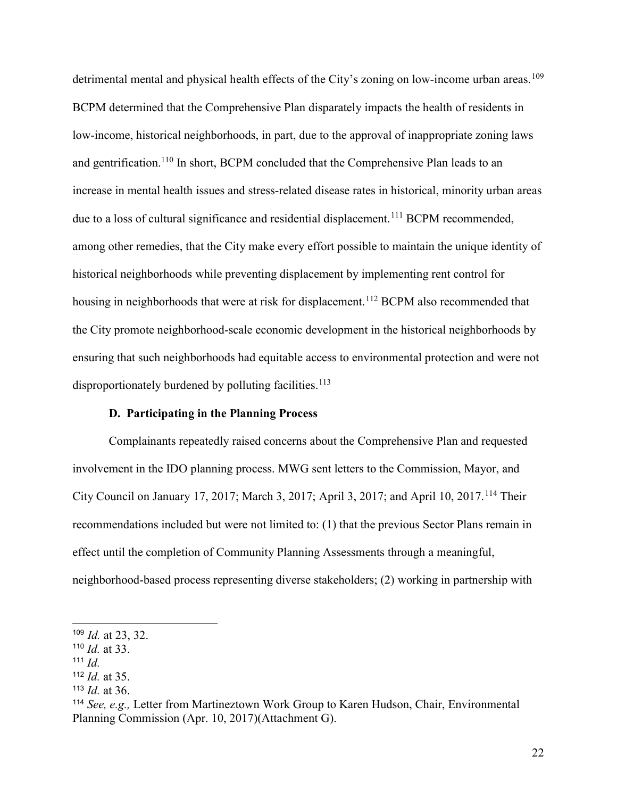detrimental mental and physical health effects of the City's zoning on low-income urban areas.<sup>109</sup> BCPM determined that the Comprehensive Plan disparately impacts the health of residents in low-income, historical neighborhoods, in part, due to the approval of inappropriate zoning laws and gentrification.<sup>110</sup> In short, BCPM concluded that the Comprehensive Plan leads to an increase in mental health issues and stress-related disease rates in historical, minority urban areas due to a loss of cultural significance and residential displacement.<sup>111</sup> BCPM recommended, among other remedies, that the City make every effort possible to maintain the unique identity of historical neighborhoods while preventing displacement by implementing rent control for housing in neighborhoods that were at risk for displacement.<sup>112</sup> BCPM also recommended that the City promote neighborhood-scale economic development in the historical neighborhoods by ensuring that such neighborhoods had equitable access to environmental protection and were not disproportionately burdened by polluting facilities.<sup>113</sup>

#### D. Participating in the Planning Process

Complainants repeatedly raised concerns about the Comprehensive Plan and requested involvement in the IDO planning process. MWG sent letters to the Commission, Mayor, and City Council on January 17, 2017; March 3, 2017; April 3, 2017; and April 10, 2017.<sup>114</sup> Their recommendations included but were not limited to: (1) that the previous Sector Plans remain in effect until the completion of Community Planning Assessments through a meaningful, neighborhood-based process representing diverse stakeholders; (2) working in partnership with

<sup>109</sup> Id. at 23, 32.

 $110$  *Id.* at 33.

<sup>111</sup>  $Id$ 

 $112$  *Id.* at 35.

 $113$  *Id.* at 36.

<sup>114</sup> See, e.g., Letter from Martineztown Work Group to Karen Hudson, Chair, Environmental Planning Commission (Apr. 10, 2017)(Attachment G).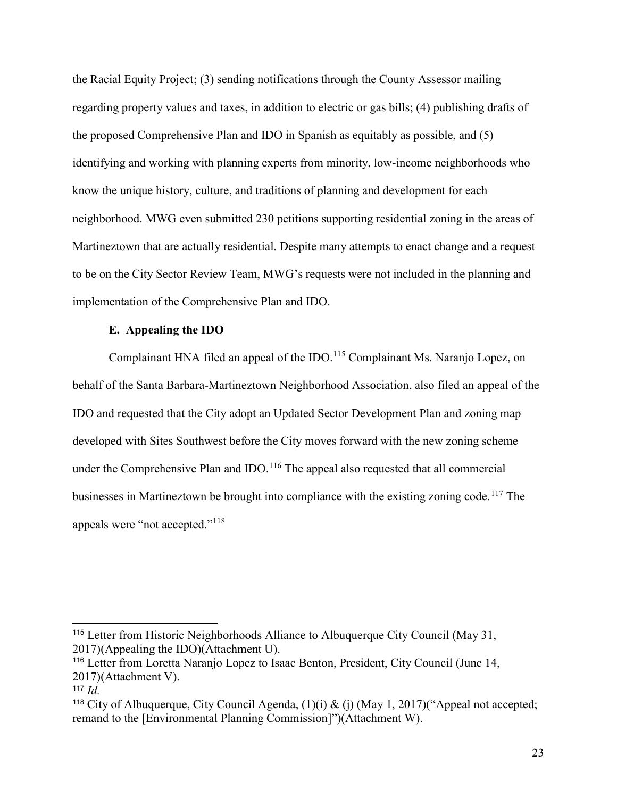the Racial Equity Project; (3) sending notifications through the County Assessor mailing regarding property values and taxes, in addition to electric or gas bills; (4) publishing drafts of the proposed Comprehensive Plan and IDO in Spanish as equitably as possible, and (5) identifying and working with planning experts from minority, low-income neighborhoods who know the unique history, culture, and traditions of planning and development for each neighborhood. MWG even submitted 230 petitions supporting residential zoning in the areas of Martineztown that are actually residential. Despite many attempts to enact change and a request to be on the City Sector Review Team, MWG's requests were not included in the planning and implementation of the Comprehensive Plan and IDO.

#### E. Appealing the IDO

Complainant HNA filed an appeal of the IDO.<sup>115</sup> Complainant Ms. Naranjo Lopez, on behalf of the Santa Barbara-Martineztown Neighborhood Association, also filed an appeal of the IDO and requested that the City adopt an Updated Sector Development Plan and zoning map developed with Sites Southwest before the City moves forward with the new zoning scheme under the Comprehensive Plan and IDO.<sup>116</sup> The appeal also requested that all commercial businesses in Martineztown be brought into compliance with the existing zoning code.<sup>117</sup> The appeals were "not accepted."<sup>118</sup>

<sup>115</sup> Letter from Historic Neighborhoods Alliance to Albuquerque City Council (May 31, 2017)(Appealing the IDO)(Attachment U).

<sup>116</sup> Letter from Loretta Naranjo Lopez to Isaac Benton, President, City Council (June 14, 2017)(Attachment V).

 $117$  *Id.* 

<sup>&</sup>lt;sup>118</sup> City of Albuquerque, City Council Agenda, (1)(i) & (j) (May 1, 2017)("Appeal not accepted; remand to the [Environmental Planning Commission]")(Attachment W).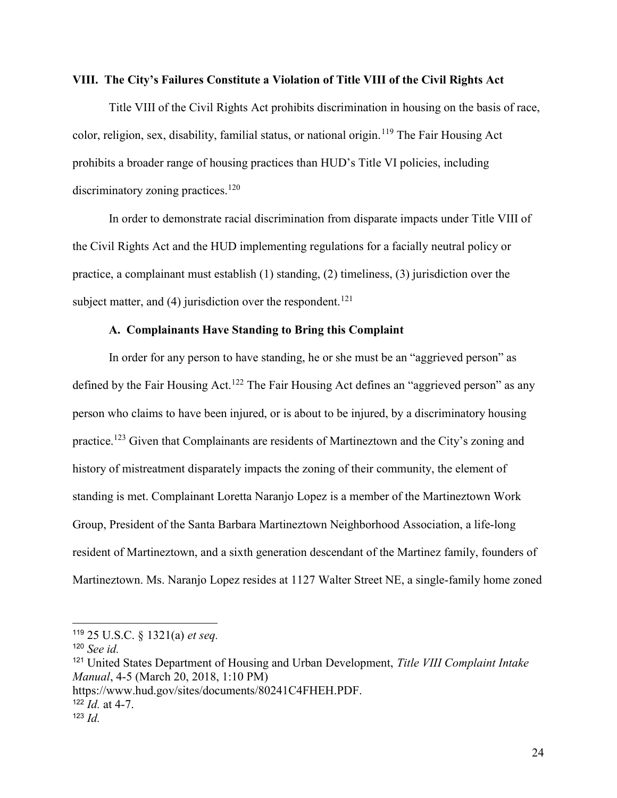### VIII. The City's Failures Constitute a Violation of Title VIII of the Civil Rights Act

Title VIII of the Civil Rights Act prohibits discrimination in housing on the basis of race, color, religion, sex, disability, familial status, or national origin.<sup>119</sup> The Fair Housing Act prohibits a broader range of housing practices than HUD's Title VI policies, including discriminatory zoning practices.<sup>120</sup>

In order to demonstrate racial discrimination from disparate impacts under Title VIII of the Civil Rights Act and the HUD implementing regulations for a facially neutral policy or practice, a complainant must establish (1) standing, (2) timeliness, (3) jurisdiction over the subject matter, and (4) jurisdiction over the respondent.<sup>121</sup>

### A. Complainants Have Standing to Bring this Complaint

In order for any person to have standing, he or she must be an "aggrieved person" as defined by the Fair Housing Act.<sup>122</sup> The Fair Housing Act defines an "aggrieved person" as any person who claims to have been injured, or is about to be injured, by a discriminatory housing practice.<sup>123</sup> Given that Complainants are residents of Martineztown and the City's zoning and history of mistreatment disparately impacts the zoning of their community, the element of standing is met. Complainant Loretta Naranjo Lopez is a member of the Martineztown Work Group, President of the Santa Barbara Martineztown Neighborhood Association, a life-long resident of Martineztown, and a sixth generation descendant of the Martinez family, founders of Martineztown. Ms. Naranjo Lopez resides at 1127 Walter Street NE, a single-family home zoned

<sup>119</sup> 25 U.S.C. § 1321(a) et seq.

 $120$  See id.

<sup>&</sup>lt;sup>121</sup> United States Department of Housing and Urban Development, Title VIII Complaint Intake Manual, 4-5 (March 20, 2018, 1:10 PM)

https://www.hud.gov/sites/documents/80241C4FHEH.PDF.

 $122$  *Id.* at 4-7.

 $123$  *Id.*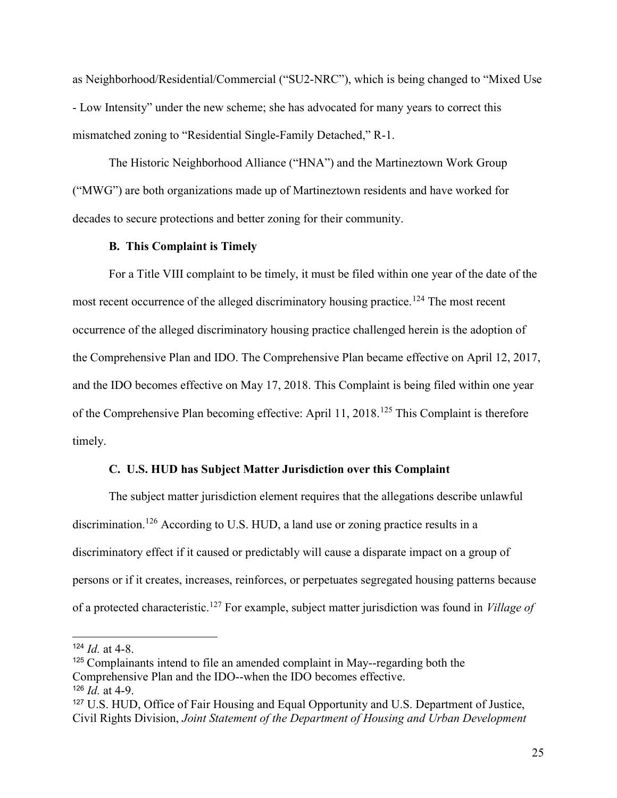as Neighborhood/Residential/Commercial ("SU2-NRC"), which is being changed to "Mixed Use - Low Intensity" under the new scheme; she has advocated for many years to correct this mismatched zoning to "Residential Single-Family Detached," R-1.

The Historic Neighborhood Alliance ("HNA") and the Martineztown Work Group ("MWG") are both organizations made up of Martineztown residents and have worked for decades to secure protections and better zoning for their community.

### B. This Complaint is Timely

For a Title VIII complaint to be timely, it must be filed within one year of the date of the most recent occurrence of the alleged discriminatory housing practice.<sup>124</sup> The most recent occurrence of the alleged discriminatory housing practice challenged herein is the adoption of the Comprehensive Plan and IDO. The Comprehensive Plan became effective on April 12, 2017, and the IDO becomes effective on May 17, 2018. This Complaint is being filed within one year of the Comprehensive Plan becoming effective: April 11, 2018.<sup>125</sup> This Complaint is therefore timely.

## C. U.S. HUD has Subject Matter Jurisdiction over this Complaint

The subject matter jurisdiction element requires that the allegations describe unlawful discrimination.<sup>126</sup> According to U.S. HUD, a land use or zoning practice results in a discriminatory effect if it caused or predictably will cause a disparate impact on a group of persons or if it creates, increases, reinforces, or perpetuates segregated housing patterns because of a protected characteristic.<sup>127</sup> For example, subject matter jurisdiction was found in *Village of* 

 $124$  *Id.* at 4-8.

<sup>&</sup>lt;sup>125</sup> Complainants intend to file an amended complaint in May--regarding both the Comprehensive Plan and the IDO--when the IDO becomes effective.

 $126$  *Id.* at 4-9.

<sup>127</sup> U.S. HUD, Office of Fair Housing and Equal Opportunity and U.S. Department of Justice, Civil Rights Division, Joint Statement of the Department of Housing and Urban Development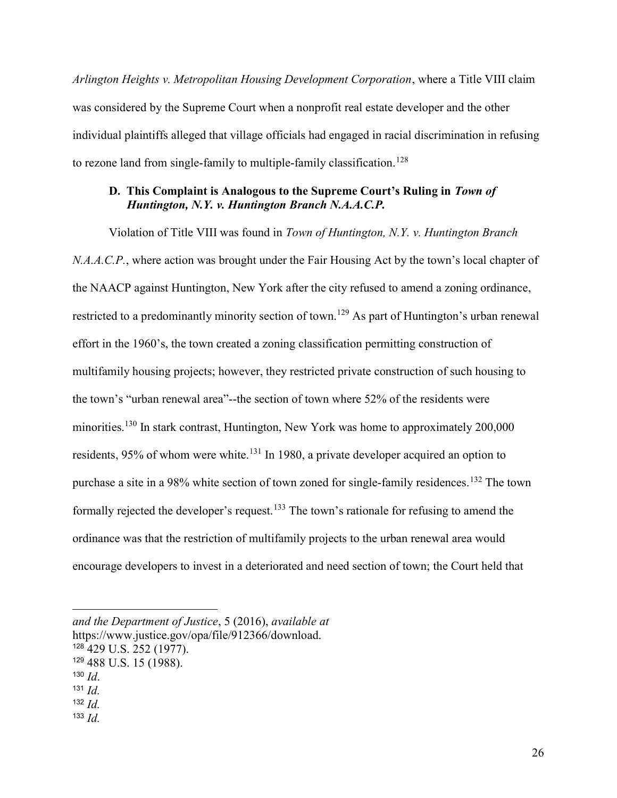Arlington Heights v. Metropolitan Housing Development Corporation, where a Title VIII claim was considered by the Supreme Court when a nonprofit real estate developer and the other individual plaintiffs alleged that village officials had engaged in racial discrimination in refusing to rezone land from single-family to multiple-family classification.<sup>128</sup>

## D. This Complaint is Analogous to the Supreme Court's Ruling in Town of Huntington, N.Y. v. Huntington Branch N.A.A.C.P.

Violation of Title VIII was found in Town of Huntington, N.Y. v. Huntington Branch N.A.A.C.P., where action was brought under the Fair Housing Act by the town's local chapter of the NAACP against Huntington, New York after the city refused to amend a zoning ordinance, restricted to a predominantly minority section of town.<sup>129</sup> As part of Huntington's urban renewal effort in the 1960's, the town created a zoning classification permitting construction of multifamily housing projects; however, they restricted private construction of such housing to the town's "urban renewal area"--the section of town where 52% of the residents were minorities.<sup>130</sup> In stark contrast, Huntington, New York was home to approximately 200,000 residents, 95% of whom were white.<sup>131</sup> In 1980, a private developer acquired an option to purchase a site in a 98% white section of town zoned for single-family residences.<sup>132</sup> The town formally rejected the developer's request.<sup>133</sup> The town's rationale for refusing to amend the ordinance was that the restriction of multifamily projects to the urban renewal area would encourage developers to invest in a deteriorated and need section of town; the Court held that

and the Department of Justice, 5 (2016), available at https://www.justice.gov/opa/file/912366/download. <sup>128</sup> 429 U.S. 252 (1977). <sup>129</sup> 488 U.S. 15 (1988).  $130$   $Id$ .  $131$  *Id.*  $132$  *Id.* 

 $133$  *Id.*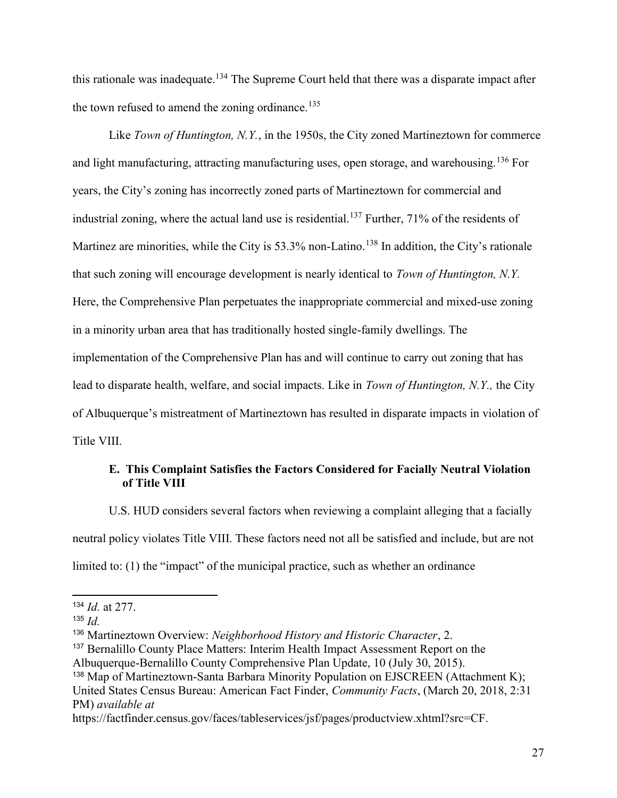this rationale was inadequate.<sup>134</sup> The Supreme Court held that there was a disparate impact after the town refused to amend the zoning ordinance.<sup>135</sup>

Like Town of Huntington, N.Y., in the 1950s, the City zoned Martineztown for commerce and light manufacturing, attracting manufacturing uses, open storage, and warehousing.<sup>136</sup> For years, the City's zoning has incorrectly zoned parts of Martineztown for commercial and industrial zoning, where the actual land use is residential.<sup>137</sup> Further, 71% of the residents of Martinez are minorities, while the City is 53.3% non-Latino.<sup>138</sup> In addition, the City's rationale that such zoning will encourage development is nearly identical to Town of Huntington, N.Y. Here, the Comprehensive Plan perpetuates the inappropriate commercial and mixed-use zoning in a minority urban area that has traditionally hosted single-family dwellings. The implementation of the Comprehensive Plan has and will continue to carry out zoning that has lead to disparate health, welfare, and social impacts. Like in Town of Huntington, N.Y., the City of Albuquerque's mistreatment of Martineztown has resulted in disparate impacts in violation of Title VIII.

## E. This Complaint Satisfies the Factors Considered for Facially Neutral Violation of Title VIII

U.S. HUD considers several factors when reviewing a complaint alleging that a facially neutral policy violates Title VIII. These factors need not all be satisfied and include, but are not limited to: (1) the "impact" of the municipal practice, such as whether an ordinance

 $134$  *Id.* at 277.

<sup>135</sup>  $Id$ .

<sup>&</sup>lt;sup>136</sup> Martineztown Overview: Neighborhood History and Historic Character, 2.

<sup>&</sup>lt;sup>137</sup> Bernalillo County Place Matters: Interim Health Impact Assessment Report on the

Albuquerque-Bernalillo County Comprehensive Plan Update, 10 (July 30, 2015).

<sup>&</sup>lt;sup>138</sup> Map of Martineztown-Santa Barbara Minority Population on EJSCREEN (Attachment K); United States Census Bureau: American Fact Finder, Community Facts, (March 20, 2018, 2:31 PM) available at

https://factfinder.census.gov/faces/tableservices/jsf/pages/productview.xhtml?src=CF.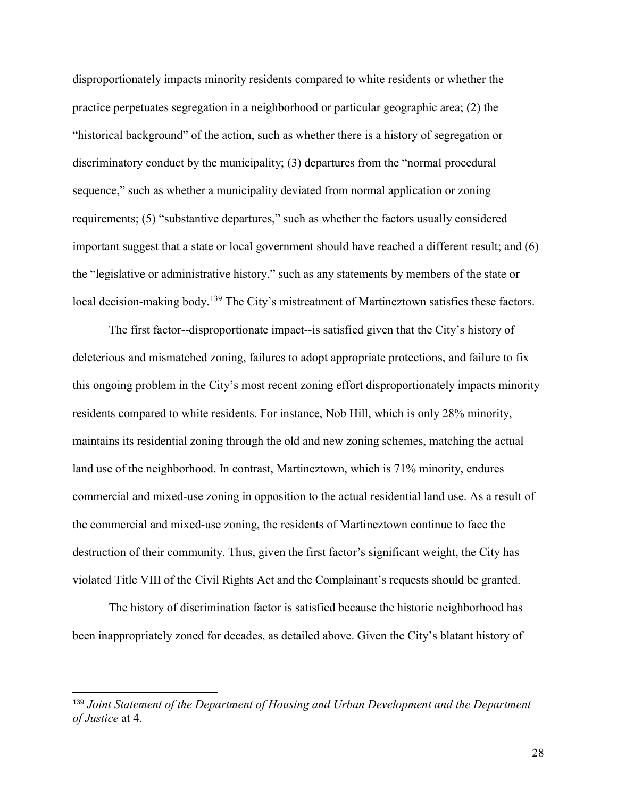disproportionately impacts minority residents compared to white residents or whether the practice perpetuates segregation in a neighborhood or particular geographic area; (2) the "historical background" of the action, such as whether there is a history of segregation or discriminatory conduct by the municipality; (3) departures from the "normal procedural sequence," such as whether a municipality deviated from normal application or zoning requirements; (5) "substantive departures," such as whether the factors usually considered important suggest that a state or local government should have reached a different result; and (6) the "legislative or administrative history," such as any statements by members of the state or local decision-making body.<sup>139</sup> The City's mistreatment of Martineztown satisfies these factors.

The first factor--disproportionate impact--is satisfied given that the City's history of deleterious and mismatched zoning, failures to adopt appropriate protections, and failure to fix this ongoing problem in the City's most recent zoning effort disproportionately impacts minority residents compared to white residents. For instance, Nob Hill, which is only 28% minority, maintains its residential zoning through the old and new zoning schemes, matching the actual land use of the neighborhood. In contrast, Martineztown, which is 71% minority, endures commercial and mixed-use zoning in opposition to the actual residential land use. As a result of the commercial and mixed-use zoning, the residents of Martineztown continue to face the destruction of their community. Thus, given the first factor's significant weight, the City has violated Title VIII of the Civil Rights Act and the Complainant's requests should be granted.

The history of discrimination factor is satisfied because the historic neighborhood has been inappropriately zoned for decades, as detailed above. Given the City's blatant history of

<sup>&</sup>lt;sup>139</sup> Joint Statement of the Department of Housing and Urban Development and the Department of Justice at 4.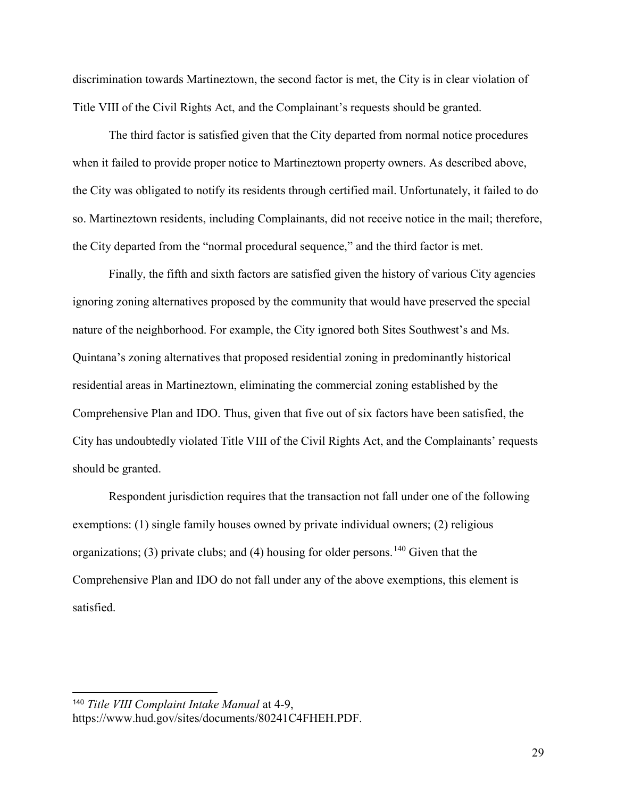discrimination towards Martineztown, the second factor is met, the City is in clear violation of Title VIII of the Civil Rights Act, and the Complainant's requests should be granted.

The third factor is satisfied given that the City departed from normal notice procedures when it failed to provide proper notice to Martineztown property owners. As described above, the City was obligated to notify its residents through certified mail. Unfortunately, it failed to do so. Martineztown residents, including Complainants, did not receive notice in the mail; therefore, the City departed from the "normal procedural sequence," and the third factor is met.

Finally, the fifth and sixth factors are satisfied given the history of various City agencies ignoring zoning alternatives proposed by the community that would have preserved the special nature of the neighborhood. For example, the City ignored both Sites Southwest's and Ms. Quintana's zoning alternatives that proposed residential zoning in predominantly historical residential areas in Martineztown, eliminating the commercial zoning established by the Comprehensive Plan and IDO. Thus, given that five out of six factors have been satisfied, the City has undoubtedly violated Title VIII of the Civil Rights Act, and the Complainants' requests should be granted.

Respondent jurisdiction requires that the transaction not fall under one of the following exemptions: (1) single family houses owned by private individual owners; (2) religious organizations; (3) private clubs; and (4) housing for older persons.<sup>140</sup> Given that the Comprehensive Plan and IDO do not fall under any of the above exemptions, this element is satisfied.

<sup>140</sup> Title VIII Complaint Intake Manual at 4-9, https://www.hud.gov/sites/documents/80241C4FHEH.PDF.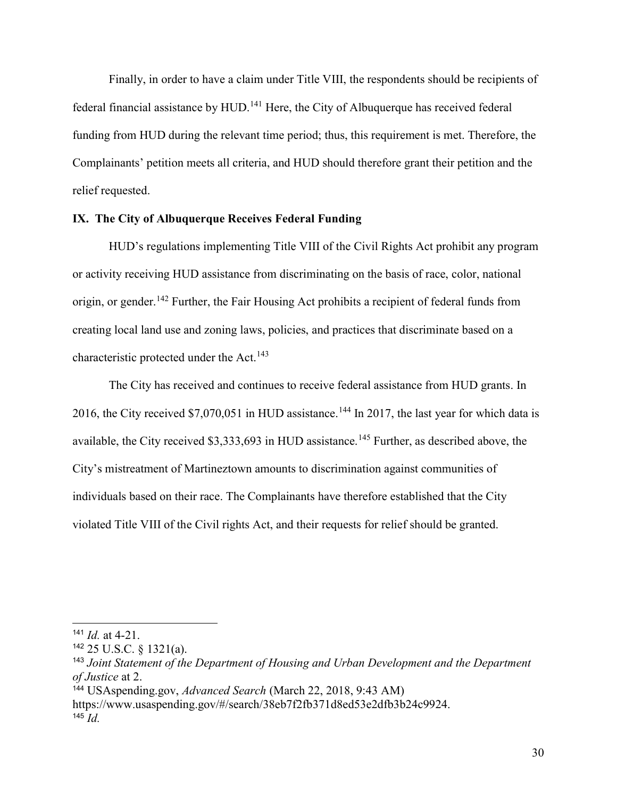Finally, in order to have a claim under Title VIII, the respondents should be recipients of federal financial assistance by  $HUD$ .<sup>141</sup> Here, the City of Albuquerque has received federal funding from HUD during the relevant time period; thus, this requirement is met. Therefore, the Complainants' petition meets all criteria, and HUD should therefore grant their petition and the relief requested.

## IX. The City of Albuquerque Receives Federal Funding

HUD's regulations implementing Title VIII of the Civil Rights Act prohibit any program or activity receiving HUD assistance from discriminating on the basis of race, color, national origin, or gender.<sup>142</sup> Further, the Fair Housing Act prohibits a recipient of federal funds from creating local land use and zoning laws, policies, and practices that discriminate based on a characteristic protected under the Act.<sup>143</sup>

The City has received and continues to receive federal assistance from HUD grants. In 2016, the City received  $$7,070,051$  in HUD assistance.<sup>144</sup> In 2017, the last year for which data is available, the City received  $$3,333,693$  in HUD assistance.<sup>145</sup> Further, as described above, the City's mistreatment of Martineztown amounts to discrimination against communities of individuals based on their race. The Complainants have therefore established that the City violated Title VIII of the Civil rights Act, and their requests for relief should be granted.

 $141$  *Id.* at 4-21.

<sup>142</sup> 25 U.S.C. § 1321(a).

<sup>143</sup> Joint Statement of the Department of Housing and Urban Development and the Department of Justice at 2.

<sup>&</sup>lt;sup>144</sup> USAspending.gov, *Advanced Search* (March 22, 2018, 9:43 AM)

https://www.usaspending.gov/#/search/38eb7f2fb371d8ed53e2dfb3b24c9924. 145  $Id$ .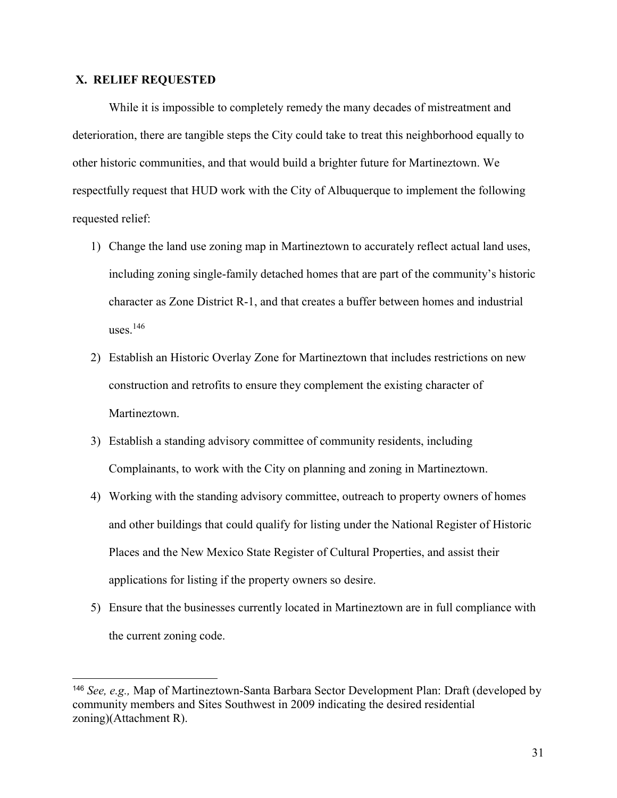#### X. RELIEF REQUESTED

While it is impossible to completely remedy the many decades of mistreatment and deterioration, there are tangible steps the City could take to treat this neighborhood equally to other historic communities, and that would build a brighter future for Martineztown. We respectfully request that HUD work with the City of Albuquerque to implement the following requested relief:

- 1) Change the land use zoning map in Martineztown to accurately reflect actual land uses, including zoning single-family detached homes that are part of the community's historic character as Zone District R-1, and that creates a buffer between homes and industrial uses. $146$
- 2) Establish an Historic Overlay Zone for Martineztown that includes restrictions on new construction and retrofits to ensure they complement the existing character of Martineztown.
- 3) Establish a standing advisory committee of community residents, including Complainants, to work with the City on planning and zoning in Martineztown.
- 4) Working with the standing advisory committee, outreach to property owners of homes and other buildings that could qualify for listing under the National Register of Historic Places and the New Mexico State Register of Cultural Properties, and assist their applications for listing if the property owners so desire.
- 5) Ensure that the businesses currently located in Martineztown are in full compliance with the current zoning code.

<sup>146</sup> See, e.g., Map of Martineztown-Santa Barbara Sector Development Plan: Draft (developed by community members and Sites Southwest in 2009 indicating the desired residential zoning)(Attachment R).